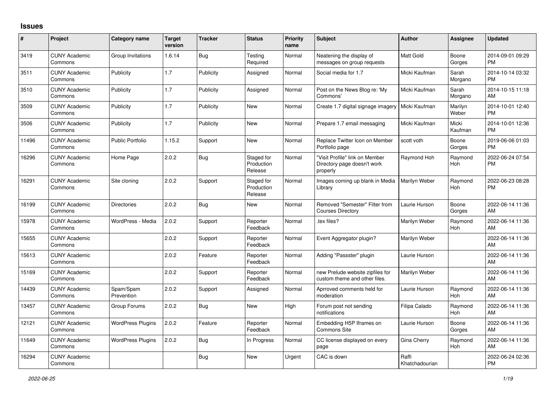## **Issues**

| #     | Project                         | <b>Category name</b>     | <b>Target</b><br>version | <b>Tracker</b> | <b>Status</b>                       | <b>Priority</b><br>name | <b>Subject</b>                                                            | <b>Author</b>           | <b>Assignee</b>       | <b>Updated</b>                |
|-------|---------------------------------|--------------------------|--------------------------|----------------|-------------------------------------|-------------------------|---------------------------------------------------------------------------|-------------------------|-----------------------|-------------------------------|
| 3419  | <b>CUNY Academic</b><br>Commons | Group Invitations        | 1.6.14                   | Bug            | Testing<br>Required                 | Normal                  | Neatening the display of<br>messages on group requests                    | <b>Matt Gold</b>        | Boone<br>Gorges       | 2014-09-01 09:29<br><b>PM</b> |
| 3511  | <b>CUNY Academic</b><br>Commons | Publicity                | 1.7                      | Publicity      | Assigned                            | Normal                  | Social media for 1.7                                                      | Micki Kaufman           | Sarah<br>Morgano      | 2014-10-14 03:32<br><b>PM</b> |
| 3510  | <b>CUNY Academic</b><br>Commons | Publicity                | 1.7                      | Publicity      | Assigned                            | Normal                  | Post on the News Blog re: 'My<br>Commons'                                 | Micki Kaufman           | Sarah<br>Morgano      | 2014-10-15 11:18<br>AM        |
| 3509  | <b>CUNY Academic</b><br>Commons | Publicity                | 1.7                      | Publicity      | <b>New</b>                          | Normal                  | Create 1.7 digital signage imagery                                        | Micki Kaufman           | Marilyn<br>Weber      | 2014-10-01 12:40<br><b>PM</b> |
| 3506  | <b>CUNY Academic</b><br>Commons | Publicity                | 1.7                      | Publicity      | <b>New</b>                          | Normal                  | Prepare 1.7 email messaging                                               | Micki Kaufman           | Micki<br>Kaufman      | 2014-10-01 12:36<br><b>PM</b> |
| 11496 | <b>CUNY Academic</b><br>Commons | <b>Public Portfolio</b>  | 1.15.2                   | Support        | <b>New</b>                          | Normal                  | Replace Twitter Icon on Member<br>Portfolio page                          | scott voth              | Boone<br>Gorges       | 2019-06-06 01:03<br><b>PM</b> |
| 16296 | <b>CUNY Academic</b><br>Commons | Home Page                | 2.0.2                    | <b>Bug</b>     | Staged for<br>Production<br>Release | Normal                  | "Visit Profile" link on Member<br>Directory page doesn't work<br>properly | Raymond Hoh             | Raymond<br><b>Hoh</b> | 2022-06-24 07:54<br><b>PM</b> |
| 16291 | <b>CUNY Academic</b><br>Commons | Site cloning             | 2.0.2                    | Support        | Staged for<br>Production<br>Release | Normal                  | Images coming up blank in Media<br>Library                                | Marilyn Weber           | Raymond<br><b>Hoh</b> | 2022-06-23 08:28<br><b>PM</b> |
| 16199 | <b>CUNY Academic</b><br>Commons | <b>Directories</b>       | 2.0.2                    | Bug            | <b>New</b>                          | Normal                  | Removed "Semester" Filter from<br><b>Courses Directory</b>                | Laurie Hurson           | Boone<br>Gorges       | 2022-06-14 11:36<br>AM        |
| 15978 | <b>CUNY Academic</b><br>Commons | WordPress - Media        | 2.0.2                    | Support        | Reporter<br>Feedback                | Normal                  | tex files?                                                                | Marilyn Weber           | Raymond<br>Hoh        | 2022-06-14 11:36<br>AM        |
| 15655 | <b>CUNY Academic</b><br>Commons |                          | 2.0.2                    | Support        | Reporter<br>Feedback                | Normal                  | Event Aggregator plugin?                                                  | Marilyn Weber           |                       | 2022-06-14 11:36<br>AM        |
| 15613 | <b>CUNY Academic</b><br>Commons |                          | 2.0.2                    | Feature        | Reporter<br>Feedback                | Normal                  | Adding "Passster" plugin                                                  | Laurie Hurson           |                       | 2022-06-14 11:36<br>AM        |
| 15169 | <b>CUNY Academic</b><br>Commons |                          | 2.0.2                    | Support        | Reporter<br>Feedback                | Normal                  | new Prelude website zipfiles for<br>custom theme and other files.         | Marilyn Weber           |                       | 2022-06-14 11:36<br>AM        |
| 14439 | <b>CUNY Academic</b><br>Commons | Spam/Spam<br>Prevention  | 2.0.2                    | Support        | Assigned                            | Normal                  | Aprroved comments held for<br>moderation                                  | Laurie Hurson           | Raymond<br>Hoh        | 2022-06-14 11:36<br>AM        |
| 13457 | <b>CUNY Academic</b><br>Commons | Group Forums             | 2.0.2                    | Bug            | <b>New</b>                          | High                    | Forum post not sending<br>notifications                                   | Filipa Calado           | Raymond<br><b>Hoh</b> | 2022-06-14 11:36<br>AM        |
| 12121 | <b>CUNY Academic</b><br>Commons | <b>WordPress Plugins</b> | 2.0.2                    | Feature        | Reporter<br>Feedback                | Normal                  | Embedding H5P Iframes on<br><b>Commons Site</b>                           | Laurie Hurson           | Boone<br>Gorges       | 2022-06-14 11:36<br>AM        |
| 11649 | <b>CUNY Academic</b><br>Commons | <b>WordPress Plugins</b> | 2.0.2                    | Bug            | In Progress                         | Normal                  | CC license displayed on every<br>page                                     | Gina Cherry             | Raymond<br>Hoh        | 2022-06-14 11:36<br>AM        |
| 16294 | <b>CUNY Academic</b><br>Commons |                          |                          | Bug            | <b>New</b>                          | Urgent                  | CAC is down                                                               | Raffi<br>Khatchadourian |                       | 2022-06-24 02:36<br>PM        |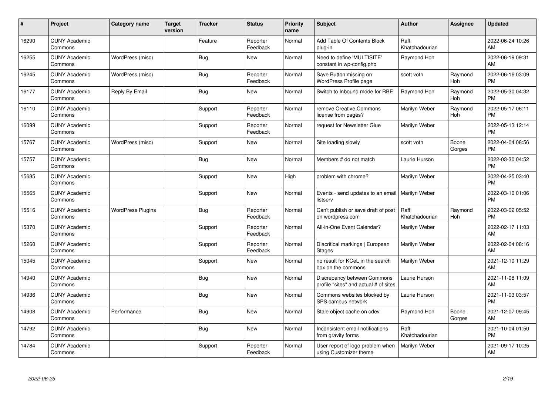| #     | Project                         | <b>Category name</b>     | <b>Target</b><br>version | <b>Tracker</b> | <b>Status</b>        | <b>Priority</b><br>name | <b>Subject</b>                                                       | <b>Author</b>           | <b>Assignee</b>       | <b>Updated</b>                |
|-------|---------------------------------|--------------------------|--------------------------|----------------|----------------------|-------------------------|----------------------------------------------------------------------|-------------------------|-----------------------|-------------------------------|
| 16290 | <b>CUNY Academic</b><br>Commons |                          |                          | Feature        | Reporter<br>Feedback | Normal                  | Add Table Of Contents Block<br>plug-in                               | Raffi<br>Khatchadourian |                       | 2022-06-24 10:26<br>AM        |
| 16255 | <b>CUNY Academic</b><br>Commons | WordPress (misc)         |                          | Bug            | <b>New</b>           | Normal                  | Need to define 'MULTISITE'<br>constant in wp-config.php              | Raymond Hoh             |                       | 2022-06-19 09:31<br>AM        |
| 16245 | <b>CUNY Academic</b><br>Commons | WordPress (misc)         |                          | Bug            | Reporter<br>Feedback | Normal                  | Save Button missing on<br>WordPress Profile page                     | scott voth              | Raymond<br><b>Hoh</b> | 2022-06-16 03:09<br><b>PM</b> |
| 16177 | <b>CUNY Academic</b><br>Commons | Reply By Email           |                          | Bug            | New                  | Normal                  | Switch to Inbound mode for RBE                                       | Raymond Hoh             | Raymond<br><b>Hoh</b> | 2022-05-30 04:32<br><b>PM</b> |
| 16110 | <b>CUNY Academic</b><br>Commons |                          |                          | Support        | Reporter<br>Feedback | Normal                  | remove Creative Commons<br>license from pages?                       | Marilyn Weber           | Raymond<br><b>Hoh</b> | 2022-05-17 06:11<br><b>PM</b> |
| 16099 | <b>CUNY Academic</b><br>Commons |                          |                          | Support        | Reporter<br>Feedback | Normal                  | request for Newsletter Glue                                          | Marilyn Weber           |                       | 2022-05-13 12:14<br><b>PM</b> |
| 15767 | <b>CUNY Academic</b><br>Commons | WordPress (misc)         |                          | Support        | New                  | Normal                  | Site loading slowly                                                  | scott voth              | Boone<br>Gorges       | 2022-04-04 08:56<br><b>PM</b> |
| 15757 | <b>CUNY Academic</b><br>Commons |                          |                          | Bug            | <b>New</b>           | Normal                  | Members # do not match                                               | Laurie Hurson           |                       | 2022-03-30 04:52<br><b>PM</b> |
| 15685 | <b>CUNY Academic</b><br>Commons |                          |                          | Support        | <b>New</b>           | High                    | problem with chrome?                                                 | Marilyn Weber           |                       | 2022-04-25 03:40<br><b>PM</b> |
| 15565 | <b>CUNY Academic</b><br>Commons |                          |                          | Support        | <b>New</b>           | Normal                  | Events - send updates to an email<br>listserv                        | Marilyn Weber           |                       | 2022-03-10 01:06<br><b>PM</b> |
| 15516 | <b>CUNY Academic</b><br>Commons | <b>WordPress Plugins</b> |                          | Bug            | Reporter<br>Feedback | Normal                  | Can't publish or save draft of post<br>on wordpress.com              | Raffi<br>Khatchadourian | Raymond<br>Hoh        | 2022-03-02 05:52<br><b>PM</b> |
| 15370 | <b>CUNY Academic</b><br>Commons |                          |                          | Support        | Reporter<br>Feedback | Normal                  | All-in-One Event Calendar?                                           | Marilyn Weber           |                       | 2022-02-17 11:03<br>AM        |
| 15260 | <b>CUNY Academic</b><br>Commons |                          |                          | Support        | Reporter<br>Feedback | Normal                  | Diacritical markings   European<br><b>Stages</b>                     | Marilyn Weber           |                       | 2022-02-04 08:16<br>AM        |
| 15045 | <b>CUNY Academic</b><br>Commons |                          |                          | Support        | <b>New</b>           | Normal                  | no result for KCeL in the search<br>box on the commons               | Marilyn Weber           |                       | 2021-12-10 11:29<br>AM        |
| 14940 | <b>CUNY Academic</b><br>Commons |                          |                          | Bug            | <b>New</b>           | Normal                  | Discrepancy between Commons<br>profile "sites" and actual # of sites | Laurie Hurson           |                       | 2021-11-08 11:09<br>AM        |
| 14936 | <b>CUNY Academic</b><br>Commons |                          |                          | Bug            | <b>New</b>           | Normal                  | Commons websites blocked by<br>SPS campus network                    | Laurie Hurson           |                       | 2021-11-03 03:57<br><b>PM</b> |
| 14908 | <b>CUNY Academic</b><br>Commons | Performance              |                          | <b>Bug</b>     | <b>New</b>           | Normal                  | Stale object cache on cdev                                           | Raymond Hoh             | Boone<br>Gorges       | 2021-12-07 09:45<br>AM        |
| 14792 | <b>CUNY Academic</b><br>Commons |                          |                          | Bug            | <b>New</b>           | Normal                  | Inconsistent email notifications<br>from gravity forms               | Raffi<br>Khatchadourian |                       | 2021-10-04 01:50<br><b>PM</b> |
| 14784 | <b>CUNY Academic</b><br>Commons |                          |                          | Support        | Reporter<br>Feedback | Normal                  | User report of logo problem when<br>using Customizer theme           | Marilyn Weber           |                       | 2021-09-17 10:25<br>AM        |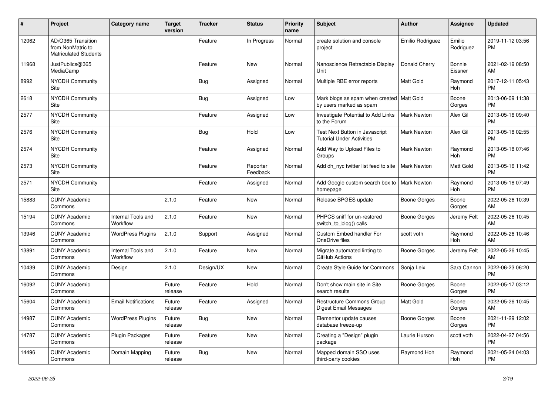| #     | Project                                                                 | <b>Category name</b>           | <b>Target</b><br>version | <b>Tracker</b> | <b>Status</b>        | <b>Priority</b><br>name | <b>Subject</b>                                                         | <b>Author</b>       | <b>Assignee</b>       | <b>Updated</b>                |
|-------|-------------------------------------------------------------------------|--------------------------------|--------------------------|----------------|----------------------|-------------------------|------------------------------------------------------------------------|---------------------|-----------------------|-------------------------------|
| 12062 | AD/O365 Transition<br>from NonMatric to<br><b>Matriculated Students</b> |                                |                          | Feature        | In Progress          | Normal                  | create solution and console<br>project                                 | Emilio Rodriguez    | Emilio<br>Rodriguez   | 2019-11-12 03:56<br><b>PM</b> |
| 11968 | JustPublics@365<br>MediaCamp                                            |                                |                          | Feature        | New                  | Normal                  | Nanoscience Retractable Display<br>Unit                                | Donald Cherry       | Bonnie<br>Eissner     | 2021-02-19 08:50<br>AM        |
| 8992  | <b>NYCDH Community</b><br>Site                                          |                                |                          | Bug            | Assigned             | Normal                  | Multiple RBE error reports                                             | Matt Gold           | Raymond<br>Hoh        | 2017-12-11 05:43<br><b>PM</b> |
| 2618  | <b>NYCDH Community</b><br>Site                                          |                                |                          | Bug            | Assigned             | Low                     | Mark blogs as spam when created   Matt Gold<br>by users marked as spam |                     | Boone<br>Gorges       | 2013-06-09 11:38<br><b>PM</b> |
| 2577  | <b>NYCDH Community</b><br><b>Site</b>                                   |                                |                          | Feature        | Assigned             | Low                     | Investigate Potential to Add Links<br>to the Forum                     | <b>Mark Newton</b>  | Alex Gil              | 2013-05-16 09:40<br><b>PM</b> |
| 2576  | NYCDH Community<br>Site                                                 |                                |                          | Bug            | Hold                 | Low                     | Test Next Button in Javascript<br><b>Tutorial Under Activities</b>     | <b>Mark Newton</b>  | Alex Gil              | 2013-05-18 02:55<br><b>PM</b> |
| 2574  | <b>NYCDH Community</b><br>Site                                          |                                |                          | Feature        | Assigned             | Normal                  | Add Way to Upload Files to<br>Groups                                   | Mark Newton         | Raymond<br>Hoh        | 2013-05-18 07:46<br><b>PM</b> |
| 2573  | NYCDH Community<br><b>Site</b>                                          |                                |                          | Feature        | Reporter<br>Feedback | Normal                  | Add dh_nyc twitter list feed to site                                   | <b>Mark Newton</b>  | Matt Gold             | 2013-05-16 11:42<br><b>PM</b> |
| 2571  | NYCDH Community<br>Site                                                 |                                |                          | Feature        | Assigned             | Normal                  | Add Google custom search box to  <br>homepage                          | <b>Mark Newton</b>  | Raymond<br><b>Hoh</b> | 2013-05-18 07:49<br><b>PM</b> |
| 15883 | <b>CUNY Academic</b><br>Commons                                         |                                | 2.1.0                    | Feature        | <b>New</b>           | Normal                  | Release BPGES update                                                   | <b>Boone Gorges</b> | Boone<br>Gorges       | 2022-05-26 10:39<br>AM        |
| 15194 | <b>CUNY Academic</b><br>Commons                                         | Internal Tools and<br>Workflow | 2.1.0                    | Feature        | New                  | Normal                  | PHPCS sniff for un-restored<br>switch to blog() calls                  | Boone Gorges        | Jeremy Felt           | 2022-05-26 10:45<br>AM        |
| 13946 | <b>CUNY Academic</b><br>Commons                                         | <b>WordPress Plugins</b>       | 2.1.0                    | Support        | Assigned             | Normal                  | Custom Embed handler For<br>OneDrive files                             | scott voth          | Raymond<br><b>Hoh</b> | 2022-05-26 10:46<br>AM        |
| 13891 | <b>CUNY Academic</b><br>Commons                                         | Internal Tools and<br>Workflow | 2.1.0                    | Feature        | <b>New</b>           | Normal                  | Migrate automated linting to<br>GitHub Actions                         | Boone Gorges        | Jeremy Felt           | 2022-05-26 10:45<br>AM        |
| 10439 | <b>CUNY Academic</b><br>Commons                                         | Design                         | 2.1.0                    | Design/UX      | <b>New</b>           | Normal                  | Create Style Guide for Commons                                         | Sonja Leix          | Sara Cannon           | 2022-06-23 06:20<br><b>PM</b> |
| 16092 | <b>CUNY Academic</b><br>Commons                                         |                                | Future<br>release        | Feature        | Hold                 | Normal                  | Don't show main site in Site<br>search results                         | Boone Gorges        | Boone<br>Gorges       | 2022-05-17 03:12<br><b>PM</b> |
| 15604 | <b>CUNY Academic</b><br>Commons                                         | <b>Email Notifications</b>     | Future<br>release        | Feature        | Assigned             | Normal                  | <b>Restructure Commons Group</b><br>Digest Email Messages              | Matt Gold           | Boone<br>Gorges       | 2022-05-26 10:45<br>AM        |
| 14987 | <b>CUNY Academic</b><br>Commons                                         | <b>WordPress Plugins</b>       | Future<br>release        | Bug            | <b>New</b>           | Normal                  | Elementor update causes<br>database freeze-up                          | <b>Boone Gorges</b> | Boone<br>Gorges       | 2021-11-29 12:02<br><b>PM</b> |
| 14787 | <b>CUNY Academic</b><br>Commons                                         | <b>Plugin Packages</b>         | Future<br>release        | Feature        | <b>New</b>           | Normal                  | Creating a "Design" plugin<br>package                                  | Laurie Hurson       | scott voth            | 2022-04-27 04:56<br><b>PM</b> |
| 14496 | <b>CUNY Academic</b><br>Commons                                         | Domain Mapping                 | Future<br>release        | <b>Bug</b>     | <b>New</b>           | Normal                  | Mapped domain SSO uses<br>third-party cookies                          | Raymond Hoh         | Raymond<br>Hoh        | 2021-05-24 04:03<br><b>PM</b> |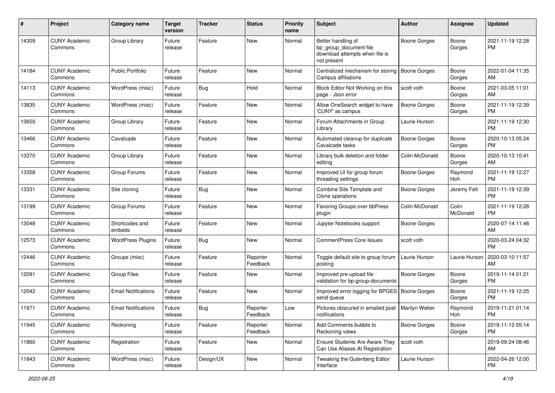| #     | Project                         | <b>Category name</b>       | <b>Target</b><br>version | <b>Tracker</b> | <b>Status</b>        | <b>Priority</b><br>name | Subject                                                                                       | Author              | <b>Assignee</b>   | <b>Updated</b>                |
|-------|---------------------------------|----------------------------|--------------------------|----------------|----------------------|-------------------------|-----------------------------------------------------------------------------------------------|---------------------|-------------------|-------------------------------|
| 14309 | <b>CUNY Academic</b><br>Commons | Group Library              | Future<br>release        | Feature        | New                  | Normal                  | Better handling of<br>bp_group_document file<br>download attempts when file is<br>not present | <b>Boone Gorges</b> | Boone<br>Gorges   | 2021-11-19 12:28<br>PM        |
| 14184 | <b>CUNY Academic</b><br>Commons | <b>Public Portfolio</b>    | Future<br>release        | Feature        | New                  | Normal                  | Centralized mechanism for storing<br>Campus affiliations                                      | <b>Boone Gorges</b> | Boone<br>Gorges   | 2022-01-04 11:35<br>AM        |
| 14113 | <b>CUNY Academic</b><br>Commons | WordPress (misc)           | Future<br>release        | Bug            | Hold                 | Normal                  | Block Editor Not Working on this<br>page - Json error                                         | scott voth          | Boone<br>Gorges   | 2021-03-05 11:01<br>AM        |
| 13835 | <b>CUNY Academic</b><br>Commons | WordPress (misc)           | Future<br>release        | Feature        | New                  | Normal                  | Allow OneSearch widget to have<br>'CUNY' as campus                                            | <b>Boone Gorges</b> | Boone<br>Gorges   | 2021-11-19 12:39<br><b>PM</b> |
| 13650 | <b>CUNY Academic</b><br>Commons | Group Library              | Future<br>release        | Feature        | New                  | Normal                  | Forum Attachments in Group<br>Library                                                         | Laurie Hurson       |                   | 2021-11-19 12:30<br><b>PM</b> |
| 13466 | <b>CUNY Academic</b><br>Commons | Cavalcade                  | Future<br>release        | Feature        | New                  | Normal                  | Automated cleanup for duplicate<br>Cavalcade tasks                                            | <b>Boone Gorges</b> | Boone<br>Gorges   | 2020-10-13 05:24<br>PM        |
| 13370 | <b>CUNY Academic</b><br>Commons | Group Library              | Future<br>release        | Feature        | New                  | Normal                  | Library bulk deletion and folder<br>editing                                                   | Colin McDonald      | Boone<br>Gorges   | 2020-10-13 10:41<br>AM        |
| 13358 | <b>CUNY Academic</b><br>Commons | Group Forums               | Future<br>release        | Feature        | New                  | Normal                  | Improved UI for group forum<br>threading settings                                             | <b>Boone Gorges</b> | Raymond<br>Hoh    | 2021-11-19 12:27<br><b>PM</b> |
| 13331 | <b>CUNY Academic</b><br>Commons | Site cloning               | Future<br>release        | Bug            | <b>New</b>           | Normal                  | Combine Site Template and<br>Clone operations                                                 | <b>Boone Gorges</b> | Jeremy Felt       | 2021-11-19 12:39<br><b>PM</b> |
| 13199 | <b>CUNY Academic</b><br>Commons | Group Forums               | Future<br>release        | Feature        | <b>New</b>           | Normal                  | Favoring Groups over bbPress<br>plugin                                                        | Colin McDonald      | Colin<br>McDonald | 2021-11-19 12:28<br>PM        |
| 13048 | <b>CUNY Academic</b><br>Commons | Shortcodes and<br>embeds   | Future<br>release        | Feature        | New                  | Normal                  | Jupyter Notebooks support                                                                     | <b>Boone Gorges</b> |                   | 2020-07-14 11:46<br>AM        |
| 12573 | <b>CUNY Academic</b><br>Commons | <b>WordPress Plugins</b>   | Future<br>release        | Bug            | New                  | Normal                  | <b>CommentPress Core Issues</b>                                                               | scott voth          |                   | 2020-03-24 04:32<br><b>PM</b> |
| 12446 | <b>CUNY Academic</b><br>Commons | Groups (misc)              | Future<br>release        | Feature        | Reporter<br>Feedback | Normal                  | Toggle default site to group forum<br>posting                                                 | Laurie Hurson       | Laurie Hurson     | 2020-03-10 11:57<br>AM        |
| 12091 | <b>CUNY Academic</b><br>Commons | <b>Group Files</b>         | Future<br>release        | Feature        | New                  | Normal                  | Improved pre-upload file<br>validation for bp-group-documents                                 | <b>Boone Gorges</b> | Boone<br>Gorges   | 2019-11-14 01:21<br><b>PM</b> |
| 12042 | <b>CUNY Academic</b><br>Commons | <b>Email Notifications</b> | Future<br>release        | Feature        | New                  | Normal                  | Improved error logging for BPGES   Boone Gorges<br>send queue                                 |                     | Boone<br>Gorges   | 2021-11-19 12:25<br><b>PM</b> |
| 11971 | <b>CUNY Academic</b><br>Commons | <b>Email Notifications</b> | Future<br>release        | Bug            | Reporter<br>Feedback | Low                     | Pictures obscured in emailed post   Marilyn Weber<br>notifications                            |                     | Raymond<br>Hoh    | 2019-11-21 01:14<br>PM        |
| 11945 | <b>CUNY Academic</b><br>Commons | Reckoning                  | Future<br>release        | Feature        | Reporter<br>Feedback | Normal                  | Add Comments bubble to<br>Reckoning views                                                     | <b>Boone Gorges</b> | Boone<br>Gorges   | 2019-11-12 05:14<br><b>PM</b> |
| 11860 | <b>CUNY Academic</b><br>Commons | Registration               | Future<br>release        | Feature        | New                  | Normal                  | Ensure Students Are Aware They<br>Can Use Aliases At Registration                             | scott voth          |                   | 2019-09-24 08:46<br>AM        |
| 11843 | <b>CUNY Academic</b><br>Commons | WordPress (misc)           | Future<br>release        | Design/UX      | New                  | Normal                  | Tweaking the Gutenberg Editor<br>Interface                                                    | Laurie Hurson       |                   | 2022-04-26 12:00<br>PM        |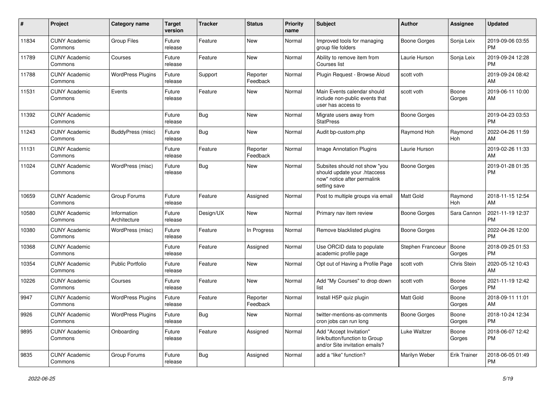| #     | Project                         | <b>Category name</b>        | Target<br>version | <b>Tracker</b> | <b>Status</b>        | <b>Priority</b><br>name | <b>Subject</b>                                                                                               | <b>Author</b>       | <b>Assignee</b>     | <b>Updated</b>                |
|-------|---------------------------------|-----------------------------|-------------------|----------------|----------------------|-------------------------|--------------------------------------------------------------------------------------------------------------|---------------------|---------------------|-------------------------------|
| 11834 | <b>CUNY Academic</b><br>Commons | <b>Group Files</b>          | Future<br>release | Feature        | <b>New</b>           | Normal                  | Improved tools for managing<br>group file folders                                                            | <b>Boone Gorges</b> | Sonja Leix          | 2019-09-06 03:55<br><b>PM</b> |
| 11789 | <b>CUNY Academic</b><br>Commons | Courses                     | Future<br>release | Feature        | New                  | Normal                  | Ability to remove item from<br>Courses list                                                                  | Laurie Hurson       | Sonja Leix          | 2019-09-24 12:28<br><b>PM</b> |
| 11788 | <b>CUNY Academic</b><br>Commons | <b>WordPress Plugins</b>    | Future<br>release | Support        | Reporter<br>Feedback | Normal                  | Plugin Request - Browse Aloud                                                                                | scott voth          |                     | 2019-09-24 08:42<br>AM        |
| 11531 | <b>CUNY Academic</b><br>Commons | Events                      | Future<br>release | Feature        | New                  | Normal                  | Main Events calendar should<br>include non-public events that<br>user has access to                          | scott voth          | Boone<br>Gorges     | 2019-06-11 10:00<br>AM        |
| 11392 | <b>CUNY Academic</b><br>Commons |                             | Future<br>release | Bug            | <b>New</b>           | Normal                  | Migrate users away from<br><b>StatPress</b>                                                                  | <b>Boone Gorges</b> |                     | 2019-04-23 03:53<br><b>PM</b> |
| 11243 | <b>CUNY Academic</b><br>Commons | BuddyPress (misc)           | Future<br>release | <b>Bug</b>     | <b>New</b>           | Normal                  | Audit bp-custom.php                                                                                          | Raymond Hoh         | Raymond<br>Hoh      | 2022-04-26 11:59<br>AM        |
| 11131 | <b>CUNY Academic</b><br>Commons |                             | Future<br>release | Feature        | Reporter<br>Feedback | Normal                  | Image Annotation Plugins                                                                                     | Laurie Hurson       |                     | 2019-02-26 11:33<br>AM        |
| 11024 | <b>CUNY Academic</b><br>Commons | WordPress (misc)            | Future<br>release | <b>Bug</b>     | New                  | Normal                  | Subsites should not show "you<br>should update your .htaccess<br>now" notice after permalink<br>setting save | <b>Boone Gorges</b> |                     | 2019-01-28 01:35<br><b>PM</b> |
| 10659 | <b>CUNY Academic</b><br>Commons | Group Forums                | Future<br>release | Feature        | Assigned             | Normal                  | Post to multiple groups via email                                                                            | Matt Gold           | Raymond<br>Hoh      | 2018-11-15 12:54<br>AM        |
| 10580 | <b>CUNY Academic</b><br>Commons | Information<br>Architecture | Future<br>release | Design/UX      | New                  | Normal                  | Primary nav item review                                                                                      | <b>Boone Gorges</b> | Sara Cannon         | 2021-11-19 12:37<br>PM        |
| 10380 | <b>CUNY Academic</b><br>Commons | WordPress (misc)            | Future<br>release | Feature        | In Progress          | Normal                  | Remove blacklisted plugins                                                                                   | <b>Boone Gorges</b> |                     | 2022-04-26 12:00<br><b>PM</b> |
| 10368 | <b>CUNY Academic</b><br>Commons |                             | Future<br>release | Feature        | Assigned             | Normal                  | Use ORCID data to populate<br>academic profile page                                                          | Stephen Francoeur   | Boone<br>Gorges     | 2018-09-25 01:53<br><b>PM</b> |
| 10354 | <b>CUNY Academic</b><br>Commons | <b>Public Portfolio</b>     | Future<br>release | Feature        | <b>New</b>           | Normal                  | Opt out of Having a Profile Page                                                                             | scott voth          | Chris Stein         | 2020-05-12 10:43<br>AM        |
| 10226 | <b>CUNY Academic</b><br>Commons | Courses                     | Future<br>release | Feature        | <b>New</b>           | Normal                  | Add "My Courses" to drop down<br>list                                                                        | scott voth          | Boone<br>Gorges     | 2021-11-19 12:42<br><b>PM</b> |
| 9947  | <b>CUNY Academic</b><br>Commons | <b>WordPress Plugins</b>    | Future<br>release | Feature        | Reporter<br>Feedback | Normal                  | Install H5P quiz plugin                                                                                      | Matt Gold           | Boone<br>Gorges     | 2018-09-11 11:01<br>AM        |
| 9926  | <b>CUNY Academic</b><br>Commons | <b>WordPress Plugins</b>    | Future<br>release | <b>Bug</b>     | New                  | Normal                  | twitter-mentions-as-comments<br>cron jobs can run long                                                       | <b>Boone Gorges</b> | Boone<br>Gorges     | 2018-10-24 12:34<br><b>PM</b> |
| 9895  | <b>CUNY Academic</b><br>Commons | Onboarding                  | Future<br>release | Feature        | Assigned             | Normal                  | Add "Accept Invitation"<br>link/button/function to Group<br>and/or Site invitation emails?                   | Luke Waltzer        | Boone<br>Gorges     | 2018-06-07 12:42<br>PM        |
| 9835  | <b>CUNY Academic</b><br>Commons | Group Forums                | Future<br>release | Bug            | Assigned             | Normal                  | add a "like" function?                                                                                       | Marilyn Weber       | <b>Erik Trainer</b> | 2018-06-05 01:49<br>PM        |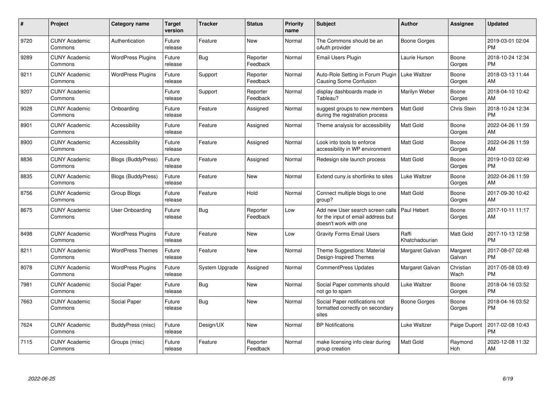| #    | Project                         | <b>Category name</b>      | <b>Target</b><br>version | <b>Tracker</b>        | <b>Status</b>        | <b>Priority</b><br>name | <b>Subject</b>                                                                                  | <b>Author</b>           | <b>Assignee</b>    | <b>Updated</b>                |
|------|---------------------------------|---------------------------|--------------------------|-----------------------|----------------------|-------------------------|-------------------------------------------------------------------------------------------------|-------------------------|--------------------|-------------------------------|
| 9720 | <b>CUNY Academic</b><br>Commons | Authentication            | Future<br>release        | Feature               | <b>New</b>           | Normal                  | The Commons should be an<br>oAuth provider                                                      | Boone Gorges            |                    | 2019-03-01 02:04<br><b>PM</b> |
| 9289 | <b>CUNY Academic</b><br>Commons | <b>WordPress Plugins</b>  | Future<br>release        | <b>Bug</b>            | Reporter<br>Feedback | Normal                  | Email Users Plugin                                                                              | Laurie Hurson           | Boone<br>Gorges    | 2018-10-24 12:34<br><b>PM</b> |
| 9211 | <b>CUNY Academic</b><br>Commons | <b>WordPress Plugins</b>  | Future<br>release        | Support               | Reporter<br>Feedback | Normal                  | Auto-Role Setting in Forum Plugin<br>Causing Some Confusion                                     | Luke Waltzer            | Boone<br>Gorges    | 2018-03-13 11:44<br>AM        |
| 9207 | <b>CUNY Academic</b><br>Commons |                           | Future<br>release        | Support               | Reporter<br>Feedback | Normal                  | display dashboards made in<br>Tableau?                                                          | Marilyn Weber           | Boone<br>Gorges    | 2018-04-10 10:42<br>AM        |
| 9028 | <b>CUNY Academic</b><br>Commons | Onboarding                | Future<br>release        | Feature               | Assigned             | Normal                  | suggest groups to new members<br>during the registration process                                | Matt Gold               | Chris Stein        | 2018-10-24 12:34<br><b>PM</b> |
| 8901 | <b>CUNY Academic</b><br>Commons | Accessibility             | Future<br>release        | Feature               | Assigned             | Normal                  | Theme analysis for accessibility                                                                | Matt Gold               | Boone<br>Gorges    | 2022-04-26 11:59<br>AM        |
| 8900 | <b>CUNY Academic</b><br>Commons | Accessibility             | Future<br>release        | Feature               | Assigned             | Normal                  | Look into tools to enforce<br>accessibility in WP environment                                   | Matt Gold               | Boone<br>Gorges    | 2022-04-26 11:59<br>AM        |
| 8836 | <b>CUNY Academic</b><br>Commons | <b>Blogs (BuddyPress)</b> | Future<br>release        | Feature               | Assigned             | Normal                  | Redesign site launch process                                                                    | <b>Matt Gold</b>        | Boone<br>Gorges    | 2019-10-03 02:49<br><b>PM</b> |
| 8835 | <b>CUNY Academic</b><br>Commons | Blogs (BuddyPress)        | Future<br>release        | Feature               | New                  | Normal                  | Extend cuny.is shortlinks to sites                                                              | Luke Waltzer            | Boone<br>Gorges    | 2022-04-26 11:59<br>AM        |
| 8756 | <b>CUNY Academic</b><br>Commons | Group Blogs               | Future<br>release        | Feature               | Hold                 | Normal                  | Connect multiple blogs to one<br>group?                                                         | <b>Matt Gold</b>        | Boone<br>Gorges    | 2017-09-30 10:42<br>AM        |
| 8675 | <b>CUNY Academic</b><br>Commons | User Onboarding           | Future<br>release        | Bug                   | Reporter<br>Feedback | Low                     | Add new User search screen calls<br>for the input of email address but<br>doesn't work with one | Paul Hebert             | Boone<br>Gorges    | 2017-10-11 11:17<br>AM        |
| 8498 | <b>CUNY Academic</b><br>Commons | <b>WordPress Plugins</b>  | Future<br>release        | Feature               | <b>New</b>           | Low                     | <b>Gravity Forms Email Users</b>                                                                | Raffi<br>Khatchadourian | Matt Gold          | 2017-10-13 12:58<br><b>PM</b> |
| 8211 | <b>CUNY Academic</b><br>Commons | <b>WordPress Themes</b>   | Future<br>release        | Feature               | New                  | Normal                  | Theme Suggestions: Material<br>Design-Inspired Themes                                           | Margaret Galvan         | Margaret<br>Galvan | 2017-08-07 02:48<br><b>PM</b> |
| 8078 | <b>CUNY Academic</b><br>Commons | <b>WordPress Plugins</b>  | Future<br>release        | <b>System Upgrade</b> | Assigned             | Normal                  | <b>CommentPress Updates</b>                                                                     | Margaret Galvan         | Christian<br>Wach  | 2017-05-08 03:49<br><b>PM</b> |
| 7981 | <b>CUNY Academic</b><br>Commons | Social Paper              | Future<br>release        | <b>Bug</b>            | <b>New</b>           | Normal                  | Social Paper comments should<br>not go to spam                                                  | Luke Waltzer            | Boone<br>Gorges    | 2018-04-16 03:52<br><b>PM</b> |
| 7663 | <b>CUNY Academic</b><br>Commons | Social Paper              | Future<br>release        | <b>Bug</b>            | <b>New</b>           | Normal                  | Social Paper notifications not<br>formatted correctly on secondary<br>sites                     | Boone Gorges            | Boone<br>Gorges    | 2018-04-16 03:52<br><b>PM</b> |
| 7624 | <b>CUNY Academic</b><br>Commons | BuddyPress (misc)         | Future<br>release        | Design/UX             | <b>New</b>           | Normal                  | <b>BP</b> Notifications                                                                         | Luke Waltzer            | Paige Dupont       | 2017-02-08 10:43<br><b>PM</b> |
| 7115 | <b>CUNY Academic</b><br>Commons | Groups (misc)             | Future<br>release        | Feature               | Reporter<br>Feedback | Normal                  | make licensing info clear during<br>group creation                                              | <b>Matt Gold</b>        | Raymond<br>Hoh     | 2020-12-08 11:32<br>AM        |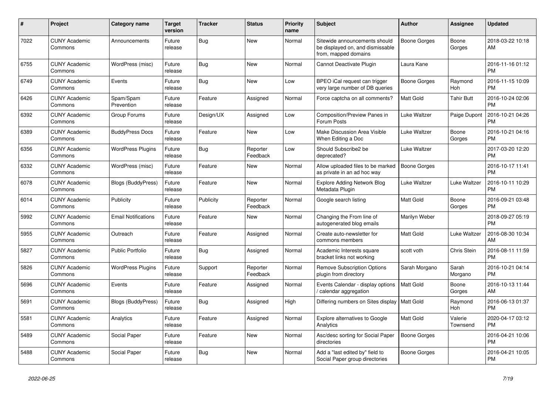| #    | <b>Project</b>                  | Category name              | <b>Target</b><br>version | <b>Tracker</b> | <b>Status</b>        | <b>Priority</b><br>name | <b>Subject</b>                                                                            | <b>Author</b>       | <b>Assignee</b>       | <b>Updated</b>                |
|------|---------------------------------|----------------------------|--------------------------|----------------|----------------------|-------------------------|-------------------------------------------------------------------------------------------|---------------------|-----------------------|-------------------------------|
| 7022 | <b>CUNY Academic</b><br>Commons | Announcements              | Future<br>release        | <b>Bug</b>     | <b>New</b>           | Normal                  | Sitewide announcements should<br>be displayed on, and dismissable<br>from, mapped domains | <b>Boone Gorges</b> | Boone<br>Gorges       | 2018-03-22 10:18<br>AM        |
| 6755 | <b>CUNY Academic</b><br>Commons | WordPress (misc)           | Future<br>release        | <b>Bug</b>     | <b>New</b>           | Normal                  | Cannot Deactivate Plugin                                                                  | Laura Kane          |                       | 2016-11-16 01:12<br><b>PM</b> |
| 6749 | <b>CUNY Academic</b><br>Commons | Events                     | Future<br>release        | Bug            | <b>New</b>           | Low                     | BPEO iCal request can trigger<br>very large number of DB queries                          | Boone Gorges        | Raymond<br><b>Hoh</b> | 2016-11-15 10:09<br><b>PM</b> |
| 6426 | <b>CUNY Academic</b><br>Commons | Spam/Spam<br>Prevention    | Future<br>release        | Feature        | Assigned             | Normal                  | Force captcha on all comments?                                                            | <b>Matt Gold</b>    | <b>Tahir Butt</b>     | 2016-10-24 02:06<br><b>PM</b> |
| 6392 | <b>CUNY Academic</b><br>Commons | Group Forums               | Future<br>release        | Design/UX      | Assigned             | Low                     | Composition/Preview Panes in<br>Forum Posts                                               | Luke Waltzer        | Paige Dupont          | 2016-10-21 04:26<br><b>PM</b> |
| 6389 | <b>CUNY Academic</b><br>Commons | <b>BuddyPress Docs</b>     | Future<br>release        | Feature        | <b>New</b>           | Low                     | Make Discussion Area Visible<br>When Editing a Doc                                        | Luke Waltzer        | Boone<br>Gorges       | 2016-10-21 04:16<br><b>PM</b> |
| 6356 | <b>CUNY Academic</b><br>Commons | <b>WordPress Plugins</b>   | Future<br>release        | Bug            | Reporter<br>Feedback | Low                     | Should Subscribe2 be<br>deprecated?                                                       | Luke Waltzer        |                       | 2017-03-20 12:20<br><b>PM</b> |
| 6332 | <b>CUNY Academic</b><br>Commons | WordPress (misc)           | Future<br>release        | Feature        | <b>New</b>           | Normal                  | Allow uploaded files to be marked<br>as private in an ad hoc way                          | <b>Boone Gorges</b> |                       | 2016-10-17 11:41<br><b>PM</b> |
| 6078 | <b>CUNY Academic</b><br>Commons | Blogs (BuddyPress)         | Future<br>release        | Feature        | <b>New</b>           | Normal                  | <b>Explore Adding Network Blog</b><br>Metadata Plugin                                     | Luke Waltzer        | Luke Waltzer          | 2016-10-11 10:29<br><b>PM</b> |
| 6014 | <b>CUNY Academic</b><br>Commons | Publicity                  | Future<br>release        | Publicity      | Reporter<br>Feedback | Normal                  | Google search listing                                                                     | <b>Matt Gold</b>    | Boone<br>Gorges       | 2016-09-21 03:48<br><b>PM</b> |
| 5992 | <b>CUNY Academic</b><br>Commons | <b>Email Notifications</b> | Future<br>release        | Feature        | <b>New</b>           | Normal                  | Changing the From line of<br>autogenerated blog emails                                    | Marilyn Weber       |                       | 2018-09-27 05:19<br><b>PM</b> |
| 5955 | <b>CUNY Academic</b><br>Commons | Outreach                   | Future<br>release        | Feature        | Assigned             | Normal                  | Create auto-newsletter for<br>commons members                                             | <b>Matt Gold</b>    | Luke Waltzer          | 2016-08-30 10:34<br>AM        |
| 5827 | <b>CUNY Academic</b><br>Commons | <b>Public Portfolio</b>    | Future<br>release        | Bug            | Assigned             | Normal                  | Academic Interests square<br>bracket links not working                                    | scott voth          | Chris Stein           | 2016-08-11 11:59<br><b>PM</b> |
| 5826 | <b>CUNY Academic</b><br>Commons | <b>WordPress Plugins</b>   | Future<br>release        | Support        | Reporter<br>Feedback | Normal                  | <b>Remove Subscription Options</b><br>plugin from directory                               | Sarah Morgano       | Sarah<br>Morgano      | 2016-10-21 04:14<br><b>PM</b> |
| 5696 | <b>CUNY Academic</b><br>Commons | Events                     | Future<br>release        | Feature        | Assigned             | Normal                  | Events Calendar - display options<br>calendar aggregation                                 | <b>Matt Gold</b>    | Boone<br>Gorges       | 2016-10-13 11:44<br>AM        |
| 5691 | <b>CUNY Academic</b><br>Commons | Blogs (BuddyPress)         | Future<br>release        | <b>Bug</b>     | Assigned             | High                    | Differing numbers on Sites display                                                        | <b>Matt Gold</b>    | Raymond<br>Hoh        | 2016-06-13 01:37<br><b>PM</b> |
| 5581 | <b>CUNY Academic</b><br>Commons | Analytics                  | Future<br>release        | Feature        | Assigned             | Normal                  | <b>Explore alternatives to Google</b><br>Analytics                                        | Matt Gold           | Valerie<br>Townsend   | 2020-04-17 03:12<br><b>PM</b> |
| 5489 | <b>CUNY Academic</b><br>Commons | Social Paper               | Future<br>release        | Feature        | <b>New</b>           | Normal                  | Asc/desc sorting for Social Paper<br>directories                                          | <b>Boone Gorges</b> |                       | 2016-04-21 10:06<br><b>PM</b> |
| 5488 | <b>CUNY Academic</b><br>Commons | Social Paper               | Future<br>release        | Bug            | <b>New</b>           | Normal                  | Add a "last edited by" field to<br>Social Paper group directories                         | Boone Gorges        |                       | 2016-04-21 10:05<br><b>PM</b> |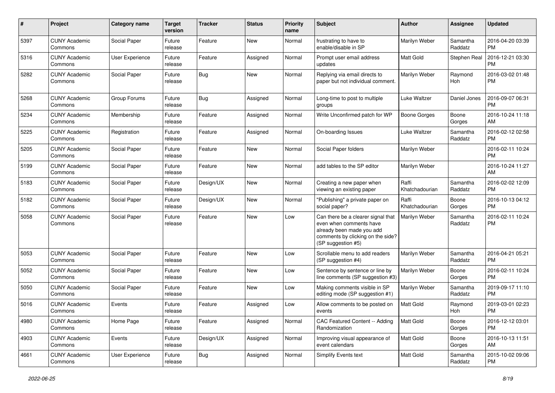| #    | Project                         | <b>Category name</b>   | <b>Target</b><br>version | <b>Tracker</b> | <b>Status</b> | <b>Priority</b><br>name | <b>Subject</b>                                                                                                                                        | Author                  | <b>Assignee</b>     | <b>Updated</b>                |
|------|---------------------------------|------------------------|--------------------------|----------------|---------------|-------------------------|-------------------------------------------------------------------------------------------------------------------------------------------------------|-------------------------|---------------------|-------------------------------|
| 5397 | <b>CUNY Academic</b><br>Commons | Social Paper           | Future<br>release        | Feature        | <b>New</b>    | Normal                  | frustrating to have to<br>enable/disable in SP                                                                                                        | Marilyn Weber           | Samantha<br>Raddatz | 2016-04-20 03:39<br>РM        |
| 5316 | <b>CUNY Academic</b><br>Commons | <b>User Experience</b> | Future<br>release        | Feature        | Assigned      | Normal                  | Prompt user email address<br>updates                                                                                                                  | Matt Gold               | Stephen Real        | 2016-12-21 03:30<br>PM        |
| 5282 | <b>CUNY Academic</b><br>Commons | Social Paper           | Future<br>release        | Bug            | New           | Normal                  | Replying via email directs to<br>paper but not individual comment.                                                                                    | Marilyn Weber           | Raymond<br>Hoh      | 2016-03-02 01:48<br><b>PM</b> |
| 5268 | <b>CUNY Academic</b><br>Commons | Group Forums           | Future<br>release        | Bug            | Assigned      | Normal                  | Long-time to post to multiple<br>groups                                                                                                               | Luke Waltzer            | Daniel Jones        | 2016-09-07 06:31<br>РM        |
| 5234 | <b>CUNY Academic</b><br>Commons | Membership             | Future<br>release        | Feature        | Assigned      | Normal                  | Write Unconfirmed patch for WP                                                                                                                        | Boone Gorges            | Boone<br>Gorges     | 2016-10-24 11:18<br>AM        |
| 5225 | <b>CUNY Academic</b><br>Commons | Registration           | Future<br>release        | Feature        | Assigned      | Normal                  | On-boarding Issues                                                                                                                                    | Luke Waltzer            | Samantha<br>Raddatz | 2016-02-12 02:58<br><b>PM</b> |
| 5205 | <b>CUNY Academic</b><br>Commons | Social Paper           | Future<br>release        | Feature        | New           | Normal                  | Social Paper folders                                                                                                                                  | Marilyn Weber           |                     | 2016-02-11 10:24<br>РM        |
| 5199 | <b>CUNY Academic</b><br>Commons | Social Paper           | Future<br>release        | Feature        | New           | Normal                  | add tables to the SP editor                                                                                                                           | Marilyn Weber           |                     | 2016-10-24 11:27<br>AM        |
| 5183 | <b>CUNY Academic</b><br>Commons | Social Paper           | Future<br>release        | Design/UX      | <b>New</b>    | Normal                  | Creating a new paper when<br>viewing an existing paper                                                                                                | Raffi<br>Khatchadourian | Samantha<br>Raddatz | 2016-02-02 12:09<br>РM        |
| 5182 | <b>CUNY Academic</b><br>Commons | Social Paper           | Future<br>release        | Design/UX      | New           | Normal                  | "Publishing" a private paper on<br>social paper?                                                                                                      | Raffi<br>Khatchadourian | Boone<br>Gorges     | 2016-10-13 04:12<br><b>PM</b> |
| 5058 | <b>CUNY Academic</b><br>Commons | Social Paper           | Future<br>release        | Feature        | <b>New</b>    | Low                     | Can there be a clearer signal that<br>even when comments have<br>already been made you add<br>comments by clicking on the side?<br>(SP suggestion #5) | Marilyn Weber           | Samantha<br>Raddatz | 2016-02-11 10:24<br><b>PM</b> |
| 5053 | <b>CUNY Academic</b><br>Commons | Social Paper           | Future<br>release        | Feature        | New           | Low                     | Scrollable menu to add readers<br>(SP suggestion #4)                                                                                                  | Marilyn Weber           | Samantha<br>Raddatz | 2016-04-21 05:21<br><b>PM</b> |
| 5052 | <b>CUNY Academic</b><br>Commons | Social Paper           | Future<br>release        | Feature        | New           | Low                     | Sentence by sentence or line by<br>line comments (SP suggestion #3)                                                                                   | Marilyn Weber           | Boone<br>Gorges     | 2016-02-11 10:24<br><b>PM</b> |
| 5050 | <b>CUNY Academic</b><br>Commons | Social Paper           | Future<br>release        | Feature        | New           | Low                     | Making comments visible in SP<br>editing mode (SP suggestion #1)                                                                                      | Marilyn Weber           | Samantha<br>Raddatz | 2019-09-17 11:10<br><b>PM</b> |
| 5016 | <b>CUNY Academic</b><br>Commons | Events                 | Future<br>release        | Feature        | Assigned      | Low                     | Allow comments to be posted on<br>events                                                                                                              | Matt Gold               | Raymond<br>Hoh      | 2019-03-01 02:23<br><b>PM</b> |
| 4980 | <b>CUNY Academic</b><br>Commons | Home Page              | Future<br>release        | Feature        | Assigned      | Normal                  | CAC Featured Content -- Adding<br>Randomization                                                                                                       | Matt Gold               | Boone<br>Gorges     | 2016-12-12 03:01<br>PM        |
| 4903 | <b>CUNY Academic</b><br>Commons | Events                 | Future<br>release        | Design/UX      | Assigned      | Normal                  | Improving visual appearance of<br>event calendars                                                                                                     | Matt Gold               | Boone<br>Gorges     | 2016-10-13 11:51<br>AM        |
| 4661 | <b>CUNY Academic</b><br>Commons | User Experience        | Future<br>release        | <b>Bug</b>     | Assigned      | Normal                  | Simplify Events text                                                                                                                                  | Matt Gold               | Samantha<br>Raddatz | 2015-10-02 09:06<br>PM        |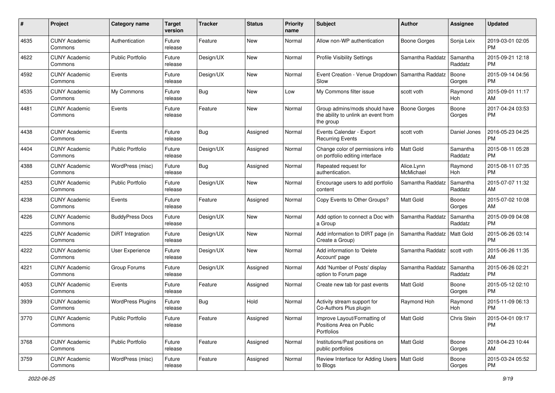| #    | Project                         | <b>Category name</b>     | <b>Target</b><br>version | Tracker   | <b>Status</b> | <b>Priority</b><br>name | Subject                                                                           | Author                  | <b>Assignee</b>     | <b>Updated</b>                |
|------|---------------------------------|--------------------------|--------------------------|-----------|---------------|-------------------------|-----------------------------------------------------------------------------------|-------------------------|---------------------|-------------------------------|
| 4635 | <b>CUNY Academic</b><br>Commons | Authentication           | Future<br>release        | Feature   | <b>New</b>    | Normal                  | Allow non-WP authentication                                                       | <b>Boone Gorges</b>     | Sonja Leix          | 2019-03-01 02:05<br>PM        |
| 4622 | <b>CUNY Academic</b><br>Commons | <b>Public Portfolio</b>  | Future<br>release        | Design/UX | New           | Normal                  | <b>Profile Visibility Settings</b>                                                | Samantha Raddatz        | Samantha<br>Raddatz | 2015-09-21 12:18<br><b>PM</b> |
| 4592 | <b>CUNY Academic</b><br>Commons | Events                   | Future<br>release        | Design/UX | <b>New</b>    | Normal                  | Event Creation - Venue Dropdown<br>Slow                                           | Samantha Raddatz        | Boone<br>Gorges     | 2015-09-14 04:56<br>PM        |
| 4535 | <b>CUNY Academic</b><br>Commons | My Commons               | Future<br>release        | Bug       | <b>New</b>    | Low                     | My Commons filter issue                                                           | scott voth              | Raymond<br>Hoh      | 2015-09-01 11:17<br>AM        |
| 4481 | <b>CUNY Academic</b><br>Commons | Events                   | Future<br>release        | Feature   | <b>New</b>    | Normal                  | Group admins/mods should have<br>the ability to unlink an event from<br>the group | <b>Boone Gorges</b>     | Boone<br>Gorges     | 2017-04-24 03:53<br><b>PM</b> |
| 4438 | <b>CUNY Academic</b><br>Commons | Events                   | Future<br>release        | Bug       | Assigned      | Normal                  | Events Calendar - Export<br><b>Recurring Events</b>                               | scott voth              | Daniel Jones        | 2016-05-23 04:25<br><b>PM</b> |
| 4404 | <b>CUNY Academic</b><br>Commons | <b>Public Portfolio</b>  | Future<br>release        | Design/UX | Assigned      | Normal                  | Change color of permissions info<br>on portfolio editing interface                | <b>Matt Gold</b>        | Samantha<br>Raddatz | 2015-08-11 05:28<br><b>PM</b> |
| 4388 | <b>CUNY Academic</b><br>Commons | WordPress (misc)         | Future<br>release        | Bug       | Assigned      | Normal                  | Repeated request for<br>authentication.                                           | Alice.Lynn<br>McMichael | Raymond<br>Hoh      | 2015-08-11 07:35<br><b>PM</b> |
| 4253 | <b>CUNY Academic</b><br>Commons | <b>Public Portfolio</b>  | Future<br>release        | Design/UX | <b>New</b>    | Normal                  | Encourage users to add portfolio<br>content                                       | Samantha Raddatz        | Samantha<br>Raddatz | 2015-07-07 11:32<br>AM        |
| 4238 | <b>CUNY Academic</b><br>Commons | Events                   | Future<br>release        | Feature   | Assigned      | Normal                  | Copy Events to Other Groups?                                                      | <b>Matt Gold</b>        | Boone<br>Gorges     | 2015-07-02 10:08<br>AM        |
| 4226 | <b>CUNY Academic</b><br>Commons | <b>BuddyPress Docs</b>   | Future<br>release        | Design/UX | <b>New</b>    | Normal                  | Add option to connect a Doc with<br>a Group                                       | Samantha Raddatz        | Samantha<br>Raddatz | 2015-09-09 04:08<br><b>PM</b> |
| 4225 | <b>CUNY Academic</b><br>Commons | DiRT Integration         | Future<br>release        | Design/UX | <b>New</b>    | Normal                  | Add information to DIRT page (in<br>Create a Group)                               | Samantha Raddatz        | Matt Gold           | 2015-06-26 03:14<br><b>PM</b> |
| 4222 | <b>CUNY Academic</b><br>Commons | User Experience          | Future<br>release        | Design/UX | <b>New</b>    | Normal                  | Add information to 'Delete<br>Account' page                                       | Samantha Raddatz        | scott voth          | 2015-06-26 11:35<br>AM        |
| 4221 | <b>CUNY Academic</b><br>Commons | Group Forums             | Future<br>release        | Design/UX | Assigned      | Normal                  | Add 'Number of Posts' display<br>option to Forum page                             | Samantha Raddatz        | Samantha<br>Raddatz | 2015-06-26 02:21<br><b>PM</b> |
| 4053 | <b>CUNY Academic</b><br>Commons | Events                   | Future<br>release        | Feature   | Assigned      | Normal                  | Create new tab for past events                                                    | Matt Gold               | Boone<br>Gorges     | 2015-05-12 02:10<br><b>PM</b> |
| 3939 | <b>CUNY Academic</b><br>Commons | <b>WordPress Plugins</b> | Future<br>release        | Bug       | Hold          | Normal                  | Activity stream support for<br>Co-Authors Plus plugin                             | Raymond Hoh             | Raymond<br>Hoh      | 2015-11-09 06:13<br>PM        |
| 3770 | <b>CUNY Academic</b><br>Commons | Public Portfolio         | Future<br>release        | Feature   | Assigned      | Normal                  | Improve Layout/Formatting of<br>Positions Area on Public<br>Portfolios            | Matt Gold               | Chris Stein         | 2015-04-01 09:17<br><b>PM</b> |
| 3768 | <b>CUNY Academic</b><br>Commons | <b>Public Portfolio</b>  | Future<br>release        | Feature   | Assigned      | Normal                  | Institutions/Past positions on<br>public portfolios                               | Matt Gold               | Boone<br>Gorges     | 2018-04-23 10:44<br>AM        |
| 3759 | <b>CUNY Academic</b><br>Commons | WordPress (misc)         | Future<br>release        | Feature   | Assigned      | Normal                  | Review Interface for Adding Users   Matt Gold<br>to Blogs                         |                         | Boone<br>Gorges     | 2015-03-24 05:52<br>PM        |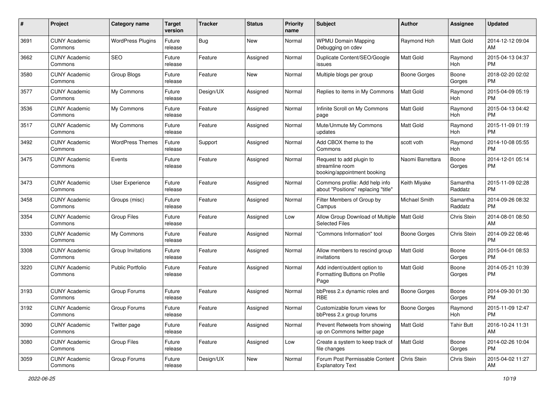| #    | Project                         | <b>Category name</b>     | <b>Target</b><br>version | <b>Tracker</b> | <b>Status</b> | <b>Priority</b><br>name | Subject                                                                    | Author              | Assignee            | <b>Updated</b>                |
|------|---------------------------------|--------------------------|--------------------------|----------------|---------------|-------------------------|----------------------------------------------------------------------------|---------------------|---------------------|-------------------------------|
| 3691 | <b>CUNY Academic</b><br>Commons | <b>WordPress Plugins</b> | Future<br>release        | Bug            | New           | Normal                  | <b>WPMU Domain Mapping</b><br>Debugging on cdev                            | Raymond Hoh         | Matt Gold           | 2014-12-12 09:04<br>AM        |
| 3662 | <b>CUNY Academic</b><br>Commons | <b>SEO</b>               | Future<br>release        | Feature        | Assigned      | Normal                  | Duplicate Content/SEO/Google<br>issues                                     | <b>Matt Gold</b>    | Raymond<br>Hoh      | 2015-04-13 04:37<br><b>PM</b> |
| 3580 | CUNY Academic<br>Commons        | Group Blogs              | Future<br>release        | Feature        | New           | Normal                  | Multiple blogs per group                                                   | <b>Boone Gorges</b> | Boone<br>Gorges     | 2018-02-20 02:02<br><b>PM</b> |
| 3577 | <b>CUNY Academic</b><br>Commons | My Commons               | Future<br>release        | Design/UX      | Assigned      | Normal                  | Replies to items in My Commons                                             | <b>Matt Gold</b>    | Raymond<br>Hoh      | 2015-04-09 05:19<br><b>PM</b> |
| 3536 | <b>CUNY Academic</b><br>Commons | My Commons               | Future<br>release        | Feature        | Assigned      | Normal                  | Infinite Scroll on My Commons<br>page                                      | <b>Matt Gold</b>    | Raymond<br>Hoh      | 2015-04-13 04:42<br><b>PM</b> |
| 3517 | <b>CUNY Academic</b><br>Commons | My Commons               | Future<br>release        | Feature        | Assigned      | Normal                  | Mute/Unmute My Commons<br>updates                                          | <b>Matt Gold</b>    | Raymond<br>Hoh      | 2015-11-09 01:19<br><b>PM</b> |
| 3492 | <b>CUNY Academic</b><br>Commons | <b>WordPress Themes</b>  | Future<br>release        | Support        | Assigned      | Normal                  | Add CBOX theme to the<br>Commons                                           | scott voth          | Raymond<br>Hoh      | 2014-10-08 05:55<br><b>PM</b> |
| 3475 | <b>CUNY Academic</b><br>Commons | Events                   | Future<br>release        | Feature        | Assigned      | Normal                  | Request to add plugin to<br>streamline room<br>booking/appointment booking | Naomi Barrettara    | Boone<br>Gorges     | 2014-12-01 05:14<br><b>PM</b> |
| 3473 | <b>CUNY Academic</b><br>Commons | User Experience          | Future<br>release        | Feature        | Assigned      | Normal                  | Commons profile: Add help info<br>about "Positions" replacing "title"      | Keith Miyake        | Samantha<br>Raddatz | 2015-11-09 02:28<br><b>PM</b> |
| 3458 | <b>CUNY Academic</b><br>Commons | Groups (misc)            | Future<br>release        | Feature        | Assigned      | Normal                  | Filter Members of Group by<br>Campus                                       | Michael Smith       | Samantha<br>Raddatz | 2014-09-26 08:32<br><b>PM</b> |
| 3354 | CUNY Academic<br>Commons        | <b>Group Files</b>       | Future<br>release        | Feature        | Assigned      | Low                     | Allow Group Download of Multiple<br><b>Selected Files</b>                  | Matt Gold           | Chris Stein         | 2014-08-01 08:50<br>AM        |
| 3330 | <b>CUNY Academic</b><br>Commons | My Commons               | Future<br>release        | Feature        | Assigned      | Normal                  | "Commons Information" tool                                                 | Boone Gorges        | Chris Stein         | 2014-09-22 08:46<br><b>PM</b> |
| 3308 | CUNY Academic<br>Commons        | Group Invitations        | Future<br>release        | Feature        | Assigned      | Normal                  | Allow members to rescind group<br>invitations                              | <b>Matt Gold</b>    | Boone<br>Gorges     | 2015-04-01 08:53<br><b>PM</b> |
| 3220 | <b>CUNY Academic</b><br>Commons | <b>Public Portfolio</b>  | Future<br>release        | Feature        | Assigned      | Normal                  | Add indent/outdent option to<br>Formatting Buttons on Profile<br>Page      | Matt Gold           | Boone<br>Gorges     | 2014-05-21 10:39<br>PM        |
| 3193 | <b>CUNY Academic</b><br>Commons | Group Forums             | Future<br>release        | Feature        | Assigned      | Normal                  | bbPress 2.x dynamic roles and<br><b>RBE</b>                                | <b>Boone Gorges</b> | Boone<br>Gorges     | 2014-09-30 01:30<br><b>PM</b> |
| 3192 | <b>CUNY Academic</b><br>Commons | Group Forums             | Future<br>release        | Feature        | Assigned      | Normal                  | Customizable forum views for<br>bbPress 2.x group forums                   | <b>Boone Gorges</b> | Raymond<br>Hoh      | 2015-11-09 12:47<br>PM        |
| 3090 | <b>CUNY Academic</b><br>Commons | Twitter page             | Future<br>release        | Feature        | Assigned      | Normal                  | Prevent Retweets from showing<br>up on Commons twitter page                | Matt Gold           | <b>Tahir Butt</b>   | 2016-10-24 11:31<br>AM        |
| 3080 | <b>CUNY Academic</b><br>Commons | Group Files              | Future<br>release        | Feature        | Assigned      | Low                     | Create a system to keep track of<br>file changes                           | Matt Gold           | Boone<br>Gorges     | 2014-02-26 10:04<br><b>PM</b> |
| 3059 | <b>CUNY Academic</b><br>Commons | Group Forums             | Future<br>release        | Design/UX      | New           | Normal                  | Forum Post Permissable Content<br><b>Explanatory Text</b>                  | Chris Stein         | Chris Stein         | 2015-04-02 11:27<br>AM        |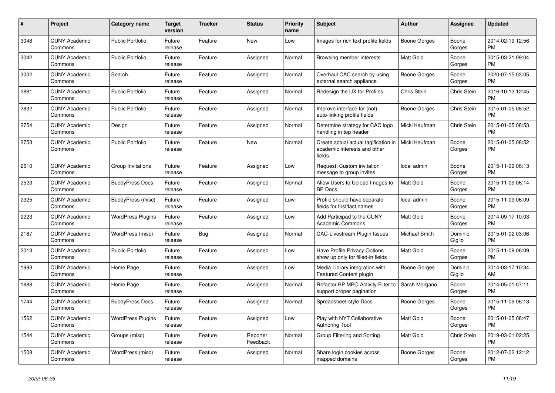| #    | Project                         | Category name            | <b>Target</b><br>version | <b>Tracker</b> | <b>Status</b>        | <b>Priority</b><br>name | <b>Subject</b>                                                                 | <b>Author</b>       | <b>Assignee</b>   | <b>Updated</b>                |
|------|---------------------------------|--------------------------|--------------------------|----------------|----------------------|-------------------------|--------------------------------------------------------------------------------|---------------------|-------------------|-------------------------------|
| 3048 | <b>CUNY Academic</b><br>Commons | <b>Public Portfolio</b>  | Future<br>release        | Feature        | <b>New</b>           | Low                     | Images for rich text profile fields                                            | <b>Boone Gorges</b> | Boone<br>Gorges   | 2014-02-19 12:56<br><b>PM</b> |
| 3042 | <b>CUNY Academic</b><br>Commons | <b>Public Portfolio</b>  | Future<br>release        | Feature        | Assigned             | Normal                  | Browsing member interests                                                      | <b>Matt Gold</b>    | Boone<br>Gorges   | 2015-03-21 09:04<br><b>PM</b> |
| 3002 | <b>CUNY Academic</b><br>Commons | Search                   | Future<br>release        | Feature        | Assigned             | Normal                  | Overhaul CAC search by using<br>external search appliance                      | Boone Gorges        | Boone<br>Gorges   | 2020-07-15 03:05<br><b>PM</b> |
| 2881 | <b>CUNY Academic</b><br>Commons | <b>Public Portfolio</b>  | Future<br>release        | Feature        | Assigned             | Normal                  | Redesign the UX for Profiles                                                   | Chris Stein         | Chris Stein       | 2016-10-13 12:45<br><b>PM</b> |
| 2832 | <b>CUNY Academic</b><br>Commons | <b>Public Portfolio</b>  | Future<br>release        | Feature        | Assigned             | Normal                  | Improve interface for (not)<br>auto-linking profile fields                     | <b>Boone Gorges</b> | Chris Stein       | 2015-01-05 08:52<br><b>PM</b> |
| 2754 | <b>CUNY Academic</b><br>Commons | Design                   | Future<br>release        | Feature        | Assigned             | Normal                  | Determine strategy for CAC logo<br>handling in top header                      | Micki Kaufman       | Chris Stein       | 2015-01-05 08:53<br><b>PM</b> |
| 2753 | <b>CUNY Academic</b><br>Commons | <b>Public Portfolio</b>  | Future<br>release        | Feature        | <b>New</b>           | Normal                  | Create actual actual tagification in<br>academic interests and other<br>fields | Micki Kaufman       | Boone<br>Gorges   | 2015-01-05 08:52<br><b>PM</b> |
| 2610 | <b>CUNY Academic</b><br>Commons | Group Invitations        | Future<br>release        | Feature        | Assigned             | Low                     | Request: Custom invitation<br>message to group invites                         | local admin         | Boone<br>Gorges   | 2015-11-09 06:13<br><b>PM</b> |
| 2523 | <b>CUNY Academic</b><br>Commons | <b>BuddyPress Docs</b>   | Future<br>release        | Feature        | Assigned             | Normal                  | Allow Users to Upload Images to<br><b>BP</b> Docs                              | <b>Matt Gold</b>    | Boone<br>Gorges   | 2015-11-09 06:14<br><b>PM</b> |
| 2325 | <b>CUNY Academic</b><br>Commons | <b>BuddyPress (misc)</b> | Future<br>release        | Feature        | Assigned             | Low                     | Profile should have separate<br>fields for first/last names                    | local admin         | Boone<br>Gorges   | 2015-11-09 06:09<br><b>PM</b> |
| 2223 | <b>CUNY Academic</b><br>Commons | <b>WordPress Plugins</b> | Future<br>release        | Feature        | Assigned             | Low                     | Add Participad to the CUNY<br><b>Academic Commons</b>                          | Matt Gold           | Boone<br>Gorges   | 2014-09-17 10:03<br><b>PM</b> |
| 2167 | <b>CUNY Academic</b><br>Commons | WordPress (misc)         | Future<br>release        | Bug            | Assigned             | Normal                  | <b>CAC-Livestream Plugin Issues</b>                                            | Michael Smith       | Dominic<br>Giglio | 2015-01-02 03:06<br><b>PM</b> |
| 2013 | <b>CUNY Academic</b><br>Commons | Public Portfolio         | Future<br>release        | Feature        | Assigned             | Low                     | Have Profile Privacy Options<br>show up only for filled-in fields              | Matt Gold           | Boone<br>Gorges   | 2015-11-09 06:09<br><b>PM</b> |
| 1983 | <b>CUNY Academic</b><br>Commons | Home Page                | Future<br>release        | Feature        | Assigned             | Low                     | Media Library integration with<br>Featured Content plugin                      | Boone Gorges        | Dominic<br>Giglio | 2014-03-17 10:34<br>AM        |
| 1888 | <b>CUNY Academic</b><br>Commons | Home Page                | Future<br>release        | Feature        | Assigned             | Normal                  | Refactor BP MPO Activity Filter to<br>support proper pagination                | Sarah Morgano       | Boone<br>Gorges   | 2014-05-01 07:11<br><b>PM</b> |
| 1744 | <b>CUNY Academic</b><br>Commons | <b>BuddyPress Docs</b>   | Future<br>release        | Feature        | Assigned             | Normal                  | Spreadsheet-style Docs                                                         | Boone Gorges        | Boone<br>Gorges   | 2015-11-09 06:13<br><b>PM</b> |
| 1562 | <b>CUNY Academic</b><br>Commons | <b>WordPress Plugins</b> | Future<br>release        | Feature        | Assigned             | Low                     | Play with NYT Collaborative<br><b>Authoring Tool</b>                           | <b>Matt Gold</b>    | Boone<br>Gorges   | 2015-01-05 08:47<br><b>PM</b> |
| 1544 | <b>CUNY Academic</b><br>Commons | Groups (misc)            | Future<br>release        | Feature        | Reporter<br>Feedback | Normal                  | Group Filtering and Sorting                                                    | <b>Matt Gold</b>    | Chris Stein       | 2019-03-01 02:25<br><b>PM</b> |
| 1508 | <b>CUNY Academic</b><br>Commons | WordPress (misc)         | Future<br>release        | Feature        | Assigned             | Normal                  | Share login cookies across<br>mapped domains                                   | Boone Gorges        | Boone<br>Gorges   | 2012-07-02 12:12<br><b>PM</b> |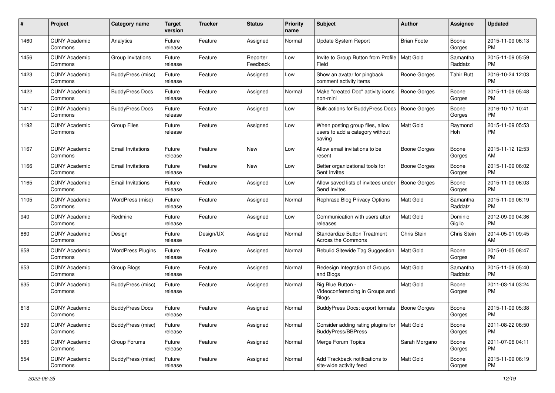| #    | Project                         | <b>Category name</b>     | <b>Target</b><br>version | <b>Tracker</b> | <b>Status</b>        | <b>Priority</b><br>name | Subject                                                                      | Author              | <b>Assignee</b>     | <b>Updated</b>                |
|------|---------------------------------|--------------------------|--------------------------|----------------|----------------------|-------------------------|------------------------------------------------------------------------------|---------------------|---------------------|-------------------------------|
| 1460 | <b>CUNY Academic</b><br>Commons | Analytics                | Future<br>release        | Feature        | Assigned             | Normal                  | <b>Update System Report</b>                                                  | <b>Brian Foote</b>  | Boone<br>Gorges     | 2015-11-09 06:13<br><b>PM</b> |
| 1456 | <b>CUNY Academic</b><br>Commons | Group Invitations        | Future<br>release        | Feature        | Reporter<br>Feedback | Low                     | Invite to Group Button from Profile   Matt Gold<br>Field                     |                     | Samantha<br>Raddatz | 2015-11-09 05:59<br><b>PM</b> |
| 1423 | <b>CUNY Academic</b><br>Commons | BuddyPress (misc)        | Future<br>release        | Feature        | Assigned             | Low                     | Show an avatar for pingback<br>comment activity items                        | Boone Gorges        | Tahir Butt          | 2016-10-24 12:03<br><b>PM</b> |
| 1422 | <b>CUNY Academic</b><br>Commons | <b>BuddyPress Docs</b>   | Future<br>release        | Feature        | Assigned             | Normal                  | Make "created Doc" activity icons<br>non-mini                                | Boone Gorges        | Boone<br>Gorges     | 2015-11-09 05:48<br><b>PM</b> |
| 1417 | <b>CUNY Academic</b><br>Commons | <b>BuddyPress Docs</b>   | Future<br>release        | Feature        | Assigned             | Low                     | Bulk actions for BuddyPress Docs                                             | <b>Boone Gorges</b> | Boone<br>Gorges     | 2016-10-17 10:41<br><b>PM</b> |
| 1192 | <b>CUNY Academic</b><br>Commons | <b>Group Files</b>       | Future<br>release        | Feature        | Assigned             | Low                     | When posting group files, allow<br>users to add a category without<br>saving | <b>Matt Gold</b>    | Raymond<br>Hoh      | 2015-11-09 05:53<br><b>PM</b> |
| 1167 | <b>CUNY Academic</b><br>Commons | <b>Email Invitations</b> | Future<br>release        | Feature        | New                  | Low                     | Allow email invitations to be<br>resent                                      | <b>Boone Gorges</b> | Boone<br>Gorges     | 2015-11-12 12:53<br>AM        |
| 1166 | <b>CUNY Academic</b><br>Commons | <b>Email Invitations</b> | Future<br>release        | Feature        | New                  | Low                     | Better organizational tools for<br>Sent Invites                              | <b>Boone Gorges</b> | Boone<br>Gorges     | 2015-11-09 06:02<br><b>PM</b> |
| 1165 | <b>CUNY Academic</b><br>Commons | <b>Email Invitations</b> | Future<br>release        | Feature        | Assigned             | Low                     | Allow saved lists of invitees under<br>Send Invites                          | <b>Boone Gorges</b> | Boone<br>Gorges     | 2015-11-09 06:03<br><b>PM</b> |
| 1105 | <b>CUNY Academic</b><br>Commons | WordPress (misc)         | Future<br>release        | Feature        | Assigned             | Normal                  | Rephrase Blog Privacy Options                                                | <b>Matt Gold</b>    | Samantha<br>Raddatz | 2015-11-09 06:19<br><b>PM</b> |
| 940  | <b>CUNY Academic</b><br>Commons | Redmine                  | Future<br>release        | Feature        | Assigned             | Low                     | Communication with users after<br>releases                                   | Matt Gold           | Dominic<br>Giglio   | 2012-09-09 04:36<br><b>PM</b> |
| 860  | <b>CUNY Academic</b><br>Commons | Design                   | Future<br>release        | Design/UX      | Assigned             | Normal                  | <b>Standardize Button Treatment</b><br>Across the Commons                    | Chris Stein         | Chris Stein         | 2014-05-01 09:45<br>AM        |
| 658  | <b>CUNY Academic</b><br>Commons | <b>WordPress Plugins</b> | Future<br>release        | Feature        | Assigned             | Normal                  | Rebulid Sitewide Tag Suggestion                                              | Matt Gold           | Boone<br>Gorges     | 2015-01-05 08:47<br><b>PM</b> |
| 653  | <b>CUNY Academic</b><br>Commons | Group Blogs              | Future<br>release        | Feature        | Assigned             | Normal                  | Redesign Integration of Groups<br>and Blogs                                  | <b>Matt Gold</b>    | Samantha<br>Raddatz | 2015-11-09 05:40<br><b>PM</b> |
| 635  | <b>CUNY Academic</b><br>Commons | BuddyPress (misc)        | Future<br>release        | Feature        | Assigned             | Normal                  | Big Blue Button -<br>Videoconferencing in Groups and<br>Blogs                | <b>Matt Gold</b>    | Boone<br>Gorges     | 2011-03-14 03:24<br><b>PM</b> |
| 618  | <b>CUNY Academic</b><br>Commons | <b>BuddyPress Docs</b>   | Future<br>release        | Feature        | Assigned             | Normal                  | BuddyPress Docs: export formats                                              | <b>Boone Gorges</b> | Boone<br>Gorges     | 2015-11-09 05:38<br>PM        |
| 599  | <b>CUNY Academic</b><br>Commons | BuddyPress (misc)        | Future<br>release        | Feature        | Assigned             | Normal                  | Consider adding rating plugins for<br><b>BuddyPress/BBPress</b>              | Matt Gold           | Boone<br>Gorges     | 2011-08-22 06:50<br><b>PM</b> |
| 585  | <b>CUNY Academic</b><br>Commons | Group Forums             | Future<br>release        | Feature        | Assigned             | Normal                  | Merge Forum Topics                                                           | Sarah Morgano       | Boone<br>Gorges     | 2011-07-06 04:11<br><b>PM</b> |
| 554  | <b>CUNY Academic</b><br>Commons | BuddyPress (misc)        | Future<br>release        | Feature        | Assigned             | Normal                  | Add Trackback notifications to<br>site-wide activity feed                    | Matt Gold           | Boone<br>Gorges     | 2015-11-09 06:19<br><b>PM</b> |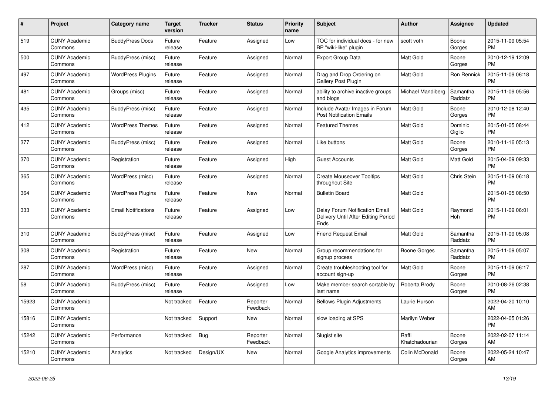| $\#$  | <b>Project</b>                  | Category name              | <b>Target</b><br>version | <b>Tracker</b> | <b>Status</b>        | <b>Priority</b><br>name | <b>Subject</b>                                                                | Author                  | <b>Assignee</b>     | <b>Updated</b>                |
|-------|---------------------------------|----------------------------|--------------------------|----------------|----------------------|-------------------------|-------------------------------------------------------------------------------|-------------------------|---------------------|-------------------------------|
| 519   | <b>CUNY Academic</b><br>Commons | <b>BuddyPress Docs</b>     | Future<br>release        | Feature        | Assigned             | Low                     | TOC for individual docs - for new<br>BP "wiki-like" plugin                    | scott voth              | Boone<br>Gorges     | 2015-11-09 05:54<br><b>PM</b> |
| 500   | <b>CUNY Academic</b><br>Commons | BuddyPress (misc)          | Future<br>release        | Feature        | Assigned             | Normal                  | <b>Export Group Data</b>                                                      | <b>Matt Gold</b>        | Boone<br>Gorges     | 2010-12-19 12:09<br><b>PM</b> |
| 497   | <b>CUNY Academic</b><br>Commons | WordPress Plugins          | Future<br>release        | Feature        | Assigned             | Normal                  | Drag and Drop Ordering on<br>Gallery Post Plugin                              | <b>Matt Gold</b>        | Ron Rennick         | 2015-11-09 06:18<br><b>PM</b> |
| 481   | <b>CUNY Academic</b><br>Commons | Groups (misc)              | Future<br>release        | Feature        | Assigned             | Normal                  | ability to archive inactive groups<br>and blogs                               | Michael Mandiberg       | Samantha<br>Raddatz | 2015-11-09 05:56<br><b>PM</b> |
| 435   | <b>CUNY Academic</b><br>Commons | BuddyPress (misc)          | Future<br>release        | Feature        | Assigned             | Normal                  | Include Avatar Images in Forum<br><b>Post Notification Emails</b>             | <b>Matt Gold</b>        | Boone<br>Gorges     | 2010-12-08 12:40<br><b>PM</b> |
| 412   | <b>CUNY Academic</b><br>Commons | <b>WordPress Themes</b>    | Future<br>release        | Feature        | Assigned             | Normal                  | <b>Featured Themes</b>                                                        | Matt Gold               | Dominic<br>Giglio   | 2015-01-05 08:44<br><b>PM</b> |
| 377   | <b>CUNY Academic</b><br>Commons | BuddyPress (misc)          | Future<br>release        | Feature        | Assigned             | Normal                  | Like buttons                                                                  | <b>Matt Gold</b>        | Boone<br>Gorges     | 2010-11-16 05:13<br><b>PM</b> |
| 370   | <b>CUNY Academic</b><br>Commons | Registration               | Future<br>release        | Feature        | Assigned             | High                    | <b>Guest Accounts</b>                                                         | Matt Gold               | <b>Matt Gold</b>    | 2015-04-09 09:33<br><b>PM</b> |
| 365   | <b>CUNY Academic</b><br>Commons | WordPress (misc)           | Future<br>release        | Feature        | Assigned             | Normal                  | <b>Create Mouseover Tooltips</b><br>throughout Site                           | Matt Gold               | Chris Stein         | 2015-11-09 06:18<br><b>PM</b> |
| 364   | <b>CUNY Academic</b><br>Commons | <b>WordPress Plugins</b>   | Future<br>release        | Feature        | <b>New</b>           | Normal                  | <b>Bulletin Board</b>                                                         | <b>Matt Gold</b>        |                     | 2015-01-05 08:50<br><b>PM</b> |
| 333   | <b>CUNY Academic</b><br>Commons | <b>Email Notifications</b> | Future<br>release        | Feature        | Assigned             | Low                     | Delay Forum Notification Email<br>Delivery Until After Editing Period<br>Ends | Matt Gold               | Raymond<br>Hoh      | 2015-11-09 06:01<br><b>PM</b> |
| 310   | <b>CUNY Academic</b><br>Commons | BuddyPress (misc)          | Future<br>release        | Feature        | Assigned             | Low                     | Friend Request Email                                                          | <b>Matt Gold</b>        | Samantha<br>Raddatz | 2015-11-09 05:08<br><b>PM</b> |
| 308   | <b>CUNY Academic</b><br>Commons | Registration               | Future<br>release        | Feature        | <b>New</b>           | Normal                  | Group recommendations for<br>signup process                                   | Boone Gorges            | Samantha<br>Raddatz | 2015-11-09 05:07<br><b>PM</b> |
| 287   | <b>CUNY Academic</b><br>Commons | WordPress (misc)           | Future<br>release        | Feature        | Assigned             | Normal                  | Create troubleshooting tool for<br>account sign-up                            | Matt Gold               | Boone<br>Gorges     | 2015-11-09 06:17<br><b>PM</b> |
| 58    | <b>CUNY Academic</b><br>Commons | BuddyPress (misc)          | Future<br>release        | Feature        | Assigned             | Low                     | Make member search sortable by<br>last name                                   | Roberta Brody           | Boone<br>Gorges     | 2010-08-26 02:38<br><b>PM</b> |
| 15923 | <b>CUNY Academic</b><br>Commons |                            | Not tracked              | Feature        | Reporter<br>Feedback | Normal                  | <b>Bellows Plugin Adjustments</b>                                             | Laurie Hurson           |                     | 2022-04-20 10:10<br>AM        |
| 15816 | <b>CUNY Academic</b><br>Commons |                            | Not tracked              | Support        | <b>New</b>           | Normal                  | slow loading at SPS                                                           | Marilyn Weber           |                     | 2022-04-05 01:26<br><b>PM</b> |
| 15242 | <b>CUNY Academic</b><br>Commons | Performance                | Not tracked              | <b>Bug</b>     | Reporter<br>Feedback | Normal                  | Slugist site                                                                  | Raffi<br>Khatchadourian | Boone<br>Gorges     | 2022-02-07 11:14<br>AM        |
| 15210 | <b>CUNY Academic</b><br>Commons | Analytics                  | Not tracked              | Design/UX      | <b>New</b>           | Normal                  | Google Analytics improvements                                                 | Colin McDonald          | Boone<br>Gorges     | 2022-05-24 10:47<br>AM        |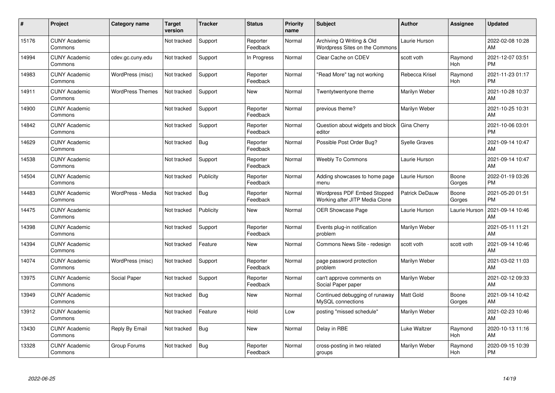| #     | Project                         | <b>Category name</b>    | <b>Target</b><br>version | <b>Tracker</b> | <b>Status</b>        | <b>Priority</b><br>name | <b>Subject</b>                                                       | <b>Author</b>         | <b>Assignee</b>       | <b>Updated</b>                |
|-------|---------------------------------|-------------------------|--------------------------|----------------|----------------------|-------------------------|----------------------------------------------------------------------|-----------------------|-----------------------|-------------------------------|
| 15176 | <b>CUNY Academic</b><br>Commons |                         | Not tracked              | Support        | Reporter<br>Feedback | Normal                  | Archiving Q Writing & Old<br>Wordpress Sites on the Commons          | Laurie Hurson         |                       | 2022-02-08 10:28<br>AM        |
| 14994 | <b>CUNY Academic</b><br>Commons | cdev.gc.cuny.edu        | Not tracked              | Support        | In Progress          | Normal                  | Clear Cache on CDEV                                                  | scott voth            | Raymond<br><b>Hoh</b> | 2021-12-07 03:51<br><b>PM</b> |
| 14983 | <b>CUNY Academic</b><br>Commons | WordPress (misc)        | Not tracked              | Support        | Reporter<br>Feedback | Normal                  | 'Read More" tag not working                                          | Rebecca Krisel        | Raymond<br>Hoh        | 2021-11-23 01:17<br><b>PM</b> |
| 14911 | <b>CUNY Academic</b><br>Commons | <b>WordPress Themes</b> | Not tracked              | Support        | <b>New</b>           | Normal                  | Twentytwentyone theme                                                | Marilyn Weber         |                       | 2021-10-28 10:37<br>AM        |
| 14900 | <b>CUNY Academic</b><br>Commons |                         | Not tracked              | Support        | Reporter<br>Feedback | Normal                  | previous theme?                                                      | Marilyn Weber         |                       | 2021-10-25 10:31<br>AM        |
| 14842 | <b>CUNY Academic</b><br>Commons |                         | Not tracked              | Support        | Reporter<br>Feedback | Normal                  | Question about widgets and block<br>editor                           | Gina Cherry           |                       | 2021-10-06 03:01<br><b>PM</b> |
| 14629 | <b>CUNY Academic</b><br>Commons |                         | Not tracked              | <b>Bug</b>     | Reporter<br>Feedback | Normal                  | Possible Post Order Bug?                                             | Syelle Graves         |                       | 2021-09-14 10:47<br>AM        |
| 14538 | <b>CUNY Academic</b><br>Commons |                         | Not tracked              | Support        | Reporter<br>Feedback | Normal                  | <b>Weebly To Commons</b>                                             | Laurie Hurson         |                       | 2021-09-14 10:47<br>AM        |
| 14504 | <b>CUNY Academic</b><br>Commons |                         | Not tracked              | Publicity      | Reporter<br>Feedback | Normal                  | Adding showcases to home page<br>menu                                | Laurie Hurson         | Boone<br>Gorges       | 2022-01-19 03:26<br><b>PM</b> |
| 14483 | <b>CUNY Academic</b><br>Commons | WordPress - Media       | Not tracked              | Bug            | Reporter<br>Feedback | Normal                  | <b>Wordpress PDF Embed Stopped</b><br>Working after JITP Media Clone | <b>Patrick DeDauw</b> | Boone<br>Gorges       | 2021-05-20 01:51<br><b>PM</b> |
| 14475 | <b>CUNY Academic</b><br>Commons |                         | Not tracked              | Publicity      | New                  | Normal                  | <b>OER Showcase Page</b>                                             | Laurie Hurson         | Laurie Hurson         | 2021-09-14 10:46<br>AM        |
| 14398 | <b>CUNY Academic</b><br>Commons |                         | Not tracked              | Support        | Reporter<br>Feedback | Normal                  | Events plug-in notification<br>problem                               | Marilyn Weber         |                       | 2021-05-11 11:21<br>AM        |
| 14394 | <b>CUNY Academic</b><br>Commons |                         | Not tracked              | Feature        | <b>New</b>           | Normal                  | Commons News Site - redesign                                         | scott voth            | scott voth            | 2021-09-14 10:46<br>AM        |
| 14074 | <b>CUNY Academic</b><br>Commons | WordPress (misc)        | Not tracked              | Support        | Reporter<br>Feedback | Normal                  | page password protection<br>problem                                  | Marilyn Weber         |                       | 2021-03-02 11:03<br>AM        |
| 13975 | <b>CUNY Academic</b><br>Commons | Social Paper            | Not tracked              | Support        | Reporter<br>Feedback | Normal                  | can't approve comments on<br>Social Paper paper                      | Marilyn Weber         |                       | 2021-02-12 09:33<br>AM        |
| 13949 | <b>CUNY Academic</b><br>Commons |                         | Not tracked              | <b>Bug</b>     | <b>New</b>           | Normal                  | Continued debugging of runaway<br>MySQL connections                  | Matt Gold             | Boone<br>Gorges       | 2021-09-14 10:42<br>AM        |
| 13912 | <b>CUNY Academic</b><br>Commons |                         | Not tracked              | Feature        | Hold                 | Low                     | posting "missed schedule"                                            | Marilyn Weber         |                       | 2021-02-23 10:46<br>AM        |
| 13430 | <b>CUNY Academic</b><br>Commons | Reply By Email          | Not tracked              | Bug            | <b>New</b>           | Normal                  | Delay in RBE                                                         | <b>Luke Waltzer</b>   | Raymond<br>Hoh        | 2020-10-13 11:16<br>AM        |
| 13328 | <b>CUNY Academic</b><br>Commons | Group Forums            | Not tracked              | <b>Bug</b>     | Reporter<br>Feedback | Normal                  | cross-posting in two related<br>groups                               | Marilyn Weber         | Raymond<br>Hoh        | 2020-09-15 10:39<br>PM        |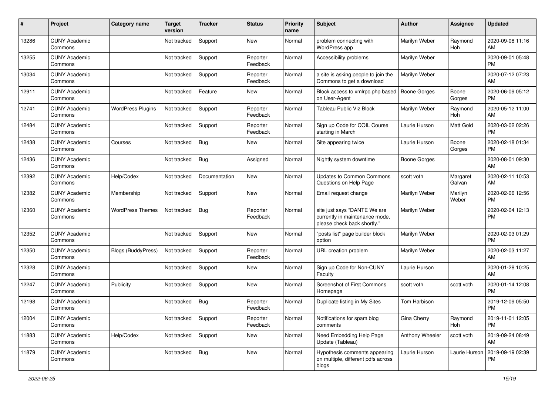| #     | Project                         | <b>Category name</b>      | Target<br>version | <b>Tracker</b> | <b>Status</b>        | <b>Priority</b><br>name | <b>Subject</b>                                                                                | <b>Author</b>       | <b>Assignee</b>    | <b>Updated</b>                |
|-------|---------------------------------|---------------------------|-------------------|----------------|----------------------|-------------------------|-----------------------------------------------------------------------------------------------|---------------------|--------------------|-------------------------------|
| 13286 | <b>CUNY Academic</b><br>Commons |                           | Not tracked       | Support        | New                  | Normal                  | problem connecting with<br>WordPress app                                                      | Marilyn Weber       | Raymond<br>Hoh     | 2020-09-08 11:16<br>AM        |
| 13255 | <b>CUNY Academic</b><br>Commons |                           | Not tracked       | Support        | Reporter<br>Feedback | Normal                  | Accessibility problems                                                                        | Marilyn Weber       |                    | 2020-09-01 05:48<br><b>PM</b> |
| 13034 | <b>CUNY Academic</b><br>Commons |                           | Not tracked       | Support        | Reporter<br>Feedback | Normal                  | a site is asking people to join the<br>Commons to get a download                              | Marilyn Weber       |                    | 2020-07-12 07:23<br>AM        |
| 12911 | <b>CUNY Academic</b><br>Commons |                           | Not tracked       | Feature        | <b>New</b>           | Normal                  | Block access to xmlrpc.php based<br>on User-Agent                                             | <b>Boone Gorges</b> | Boone<br>Gorges    | 2020-06-09 05:12<br><b>PM</b> |
| 12741 | <b>CUNY Academic</b><br>Commons | <b>WordPress Plugins</b>  | Not tracked       | Support        | Reporter<br>Feedback | Normal                  | <b>Tableau Public Viz Block</b>                                                               | Marilyn Weber       | Raymond<br>Hoh     | 2020-05-12 11:00<br>AM        |
| 12484 | <b>CUNY Academic</b><br>Commons |                           | Not tracked       | Support        | Reporter<br>Feedback | Normal                  | Sign up Code for COIL Course<br>starting in March                                             | Laurie Hurson       | Matt Gold          | 2020-03-02 02:26<br><b>PM</b> |
| 12438 | <b>CUNY Academic</b><br>Commons | Courses                   | Not tracked       | <b>Bug</b>     | New                  | Normal                  | Site appearing twice                                                                          | Laurie Hurson       | Boone<br>Gorges    | 2020-02-18 01:34<br><b>PM</b> |
| 12436 | <b>CUNY Academic</b><br>Commons |                           | Not tracked       | <b>Bug</b>     | Assigned             | Normal                  | Nightly system downtime                                                                       | <b>Boone Gorges</b> |                    | 2020-08-01 09:30<br>AM        |
| 12392 | <b>CUNY Academic</b><br>Commons | Help/Codex                | Not tracked       | Documentation  | New                  | Normal                  | <b>Updates to Common Commons</b><br>Questions on Help Page                                    | scott voth          | Margaret<br>Galvan | 2020-02-11 10:53<br>AM        |
| 12382 | <b>CUNY Academic</b><br>Commons | Membership                | Not tracked       | Support        | New                  | Normal                  | Email request change                                                                          | Marilyn Weber       | Marilyn<br>Weber   | 2020-02-06 12:56<br><b>PM</b> |
| 12360 | <b>CUNY Academic</b><br>Commons | <b>WordPress Themes</b>   | Not tracked       | <b>Bug</b>     | Reporter<br>Feedback | Normal                  | site just says "DANTE We are<br>currently in maintenance mode,<br>please check back shortly." | Marilyn Weber       |                    | 2020-02-04 12:13<br><b>PM</b> |
| 12352 | <b>CUNY Academic</b><br>Commons |                           | Not tracked       | Support        | <b>New</b>           | Normal                  | 'posts list" page builder block<br>option                                                     | Marilyn Weber       |                    | 2020-02-03 01:29<br><b>PM</b> |
| 12350 | <b>CUNY Academic</b><br>Commons | <b>Blogs (BuddyPress)</b> | Not tracked       | Support        | Reporter<br>Feedback | Normal                  | URL creation problem                                                                          | Marilyn Weber       |                    | 2020-02-03 11:27<br>AM        |
| 12328 | <b>CUNY Academic</b><br>Commons |                           | Not tracked       | Support        | New                  | Normal                  | Sign up Code for Non-CUNY<br>Faculty                                                          | Laurie Hurson       |                    | 2020-01-28 10:25<br>AM        |
| 12247 | <b>CUNY Academic</b><br>Commons | Publicity                 | Not tracked       | Support        | <b>New</b>           | Normal                  | Screenshot of First Commons<br>Homepage                                                       | scott voth          | scott voth         | 2020-01-14 12:08<br><b>PM</b> |
| 12198 | <b>CUNY Academic</b><br>Commons |                           | Not tracked       | <b>Bug</b>     | Reporter<br>Feedback | Normal                  | Duplicate listing in My Sites                                                                 | Tom Harbison        |                    | 2019-12-09 05:50<br><b>PM</b> |
| 12004 | <b>CUNY Academic</b><br>Commons |                           | Not tracked       | Support        | Reporter<br>Feedback | Normal                  | Notifications for spam blog<br>comments                                                       | Gina Cherry         | Raymond<br>Hoh     | 2019-11-01 12:05<br>PM        |
| 11883 | <b>CUNY Academic</b><br>Commons | Help/Codex                | Not tracked       | Support        | New                  | Normal                  | Need Embedding Help Page<br>Update (Tableau)                                                  | Anthony Wheeler     | scott voth         | 2019-09-24 08:49<br>AM        |
| 11879 | <b>CUNY Academic</b><br>Commons |                           | Not tracked       | <b>Bug</b>     | New                  | Normal                  | Hypothesis comments appearing<br>on multiple, different pdfs across<br>blogs                  | Laurie Hurson       | Laurie Hurson      | 2019-09-19 02:39<br><b>PM</b> |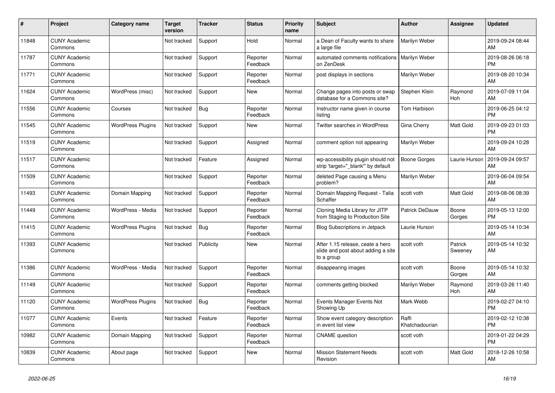| $\vert$ # | <b>Project</b>                  | Category name            | <b>Target</b><br>version | Tracker    | <b>Status</b>        | <b>Priority</b><br>name | <b>Subject</b>                                                                       | <b>Author</b>           | Assignee              | <b>Updated</b>                |
|-----------|---------------------------------|--------------------------|--------------------------|------------|----------------------|-------------------------|--------------------------------------------------------------------------------------|-------------------------|-----------------------|-------------------------------|
| 11848     | <b>CUNY Academic</b><br>Commons |                          | Not tracked              | Support    | Hold                 | Normal                  | a Dean of Faculty wants to share<br>a large file                                     | Marilyn Weber           |                       | 2019-09-24 08:44<br>AM        |
| 11787     | <b>CUNY Academic</b><br>Commons |                          | Not tracked              | Support    | Reporter<br>Feedback | Normal                  | automated comments notifications<br>on ZenDesk                                       | Marilyn Weber           |                       | 2019-08-26 06:18<br><b>PM</b> |
| 11771     | <b>CUNY Academic</b><br>Commons |                          | Not tracked              | Support    | Reporter<br>Feedback | Normal                  | post displays in sections                                                            | Marilyn Weber           |                       | 2019-08-20 10:34<br>AM        |
| 11624     | <b>CUNY Academic</b><br>Commons | WordPress (misc)         | Not tracked              | Support    | <b>New</b>           | Normal                  | Change pages into posts or swap<br>database for a Commons site?                      | Stephen Klein           | Raymond<br><b>Hoh</b> | 2019-07-09 11:04<br>AM        |
| 11556     | <b>CUNY Academic</b><br>Commons | Courses                  | Not tracked              | <b>Bug</b> | Reporter<br>Feedback | Normal                  | Instructor name given in course<br>listing                                           | Tom Harbison            |                       | 2019-06-25 04:12<br><b>PM</b> |
| 11545     | <b>CUNY Academic</b><br>Commons | <b>WordPress Plugins</b> | Not tracked              | Support    | New                  | Normal                  | Twitter searches in WordPress                                                        | Gina Cherry             | Matt Gold             | 2019-09-23 01:03<br><b>PM</b> |
| 11519     | <b>CUNY Academic</b><br>Commons |                          | Not tracked              | Support    | Assigned             | Normal                  | comment option not appearing                                                         | Marilyn Weber           |                       | 2019-09-24 10:28<br>AM        |
| 11517     | <b>CUNY Academic</b><br>Commons |                          | Not tracked              | Feature    | Assigned             | Normal                  | wp-accessibility plugin should not<br>strip 'target="_blank" by default              | <b>Boone Gorges</b>     | Laurie Hurson         | 2019-09-24 09:57<br>AM        |
| 11509     | <b>CUNY Academic</b><br>Commons |                          | Not tracked              | Support    | Reporter<br>Feedback | Normal                  | deleted Page causing a Menu<br>problem?                                              | Marilyn Weber           |                       | 2019-06-04 09:54<br>AM        |
| 11493     | <b>CUNY Academic</b><br>Commons | Domain Mapping           | Not tracked              | Support    | Reporter<br>Feedback | Normal                  | Domain Mapping Request - Talia<br>Schaffer                                           | scott voth              | Matt Gold             | 2019-08-06 08:39<br>AM        |
| 11449     | <b>CUNY Academic</b><br>Commons | WordPress - Media        | Not tracked              | Support    | Reporter<br>Feedback | Normal                  | Cloning Media Library for JITP<br>from Staging to Production Site                    | <b>Patrick DeDauw</b>   | Boone<br>Gorges       | 2019-05-13 12:00<br><b>PM</b> |
| 11415     | <b>CUNY Academic</b><br>Commons | <b>WordPress Plugins</b> | Not tracked              | Bug        | Reporter<br>Feedback | Normal                  | <b>Blog Subscriptions in Jetpack</b>                                                 | Laurie Hurson           |                       | 2019-05-14 10:34<br>AM        |
| 11393     | <b>CUNY Academic</b><br>Commons |                          | Not tracked              | Publicity  | <b>New</b>           | Normal                  | After 1.15 release, ceate a hero<br>slide and post about adding a site<br>to a group | scott voth              | Patrick<br>Sweeney    | 2019-05-14 10:32<br>AM        |
| 11386     | <b>CUNY Academic</b><br>Commons | WordPress - Media        | Not tracked              | Support    | Reporter<br>Feedback | Normal                  | disappearing images                                                                  | scott voth              | Boone<br>Gorges       | 2019-05-14 10:32<br>AM        |
| 11149     | <b>CUNY Academic</b><br>Commons |                          | Not tracked              | Support    | Reporter<br>Feedback | Normal                  | comments getting blocked                                                             | Marilyn Weber           | Raymond<br>Hoh        | 2019-03-26 11:40<br>AM        |
| 11120     | <b>CUNY Academic</b><br>Commons | <b>WordPress Plugins</b> | Not tracked              | Bug        | Reporter<br>Feedback | Normal                  | Events Manager Events Not<br>Showing Up                                              | Mark Webb               |                       | 2019-02-27 04:10<br><b>PM</b> |
| 11077     | <b>CUNY Academic</b><br>Commons | Events                   | Not tracked              | Feature    | Reporter<br>Feedback | Normal                  | Show event category description<br>in event list view                                | Raffi<br>Khatchadourian |                       | 2019-02-12 10:38<br><b>PM</b> |
| 10982     | <b>CUNY Academic</b><br>Commons | Domain Mapping           | Not tracked              | Support    | Reporter<br>Feedback | Normal                  | <b>CNAME</b> question                                                                | scott voth              |                       | 2019-01-22 04:29<br><b>PM</b> |
| 10839     | <b>CUNY Academic</b><br>Commons | About page               | Not tracked              | Support    | <b>New</b>           | Normal                  | <b>Mission Statement Needs</b><br>Revision                                           | scott voth              | Matt Gold             | 2018-12-26 10:58<br>AM        |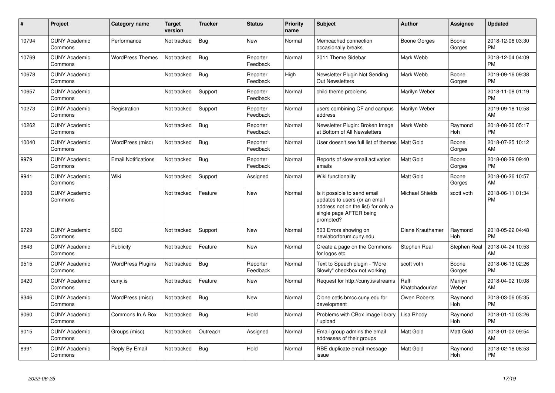| #     | Project                         | <b>Category name</b>       | Target<br>version | <b>Tracker</b> | <b>Status</b>        | <b>Priority</b><br>name | <b>Subject</b>                                                                                                                               | <b>Author</b>           | <b>Assignee</b>       | <b>Updated</b>                |
|-------|---------------------------------|----------------------------|-------------------|----------------|----------------------|-------------------------|----------------------------------------------------------------------------------------------------------------------------------------------|-------------------------|-----------------------|-------------------------------|
| 10794 | <b>CUNY Academic</b><br>Commons | Performance                | Not tracked       | Bug            | <b>New</b>           | Normal                  | Memcached connection<br>occasionally breaks                                                                                                  | Boone Gorges            | Boone<br>Gorges       | 2018-12-06 03:30<br><b>PM</b> |
| 10769 | <b>CUNY Academic</b><br>Commons | <b>WordPress Themes</b>    | Not tracked       | Bug            | Reporter<br>Feedback | Normal                  | 2011 Theme Sidebar                                                                                                                           | Mark Webb               |                       | 2018-12-04 04:09<br><b>PM</b> |
| 10678 | <b>CUNY Academic</b><br>Commons |                            | Not tracked       | Bug            | Reporter<br>Feedback | High                    | Newsletter Plugin Not Sending<br><b>Out Newsletters</b>                                                                                      | Mark Webb               | Boone<br>Gorges       | 2019-09-16 09:38<br><b>PM</b> |
| 10657 | <b>CUNY Academic</b><br>Commons |                            | Not tracked       | Support        | Reporter<br>Feedback | Normal                  | child theme problems                                                                                                                         | Marilyn Weber           |                       | 2018-11-08 01:19<br><b>PM</b> |
| 10273 | <b>CUNY Academic</b><br>Commons | Registration               | Not tracked       | Support        | Reporter<br>Feedback | Normal                  | users combining CF and campus<br>address                                                                                                     | Marilyn Weber           |                       | 2019-09-18 10:58<br>AM        |
| 10262 | <b>CUNY Academic</b><br>Commons |                            | Not tracked       | <b>Bug</b>     | Reporter<br>Feedback | Normal                  | Newsletter Plugin: Broken Image<br>at Bottom of All Newsletters                                                                              | Mark Webb               | Raymond<br>Hoh        | 2018-08-30 05:17<br><b>PM</b> |
| 10040 | <b>CUNY Academic</b><br>Commons | WordPress (misc)           | Not tracked       | Bug            | Reporter<br>Feedback | Normal                  | User doesn't see full list of themes I                                                                                                       | Matt Gold               | Boone<br>Gorges       | 2018-07-25 10:12<br>AM        |
| 9979  | <b>CUNY Academic</b><br>Commons | <b>Email Notifications</b> | Not tracked       | <b>Bug</b>     | Reporter<br>Feedback | Normal                  | Reports of slow email activation<br>emails                                                                                                   | <b>Matt Gold</b>        | Boone<br>Gorges       | 2018-08-29 09:40<br><b>PM</b> |
| 9941  | <b>CUNY Academic</b><br>Commons | Wiki                       | Not tracked       | Support        | Assigned             | Normal                  | Wiki functionality                                                                                                                           | Matt Gold               | Boone<br>Gorges       | 2018-06-26 10:57<br>AM        |
| 9908  | <b>CUNY Academic</b><br>Commons |                            | Not tracked       | Feature        | <b>New</b>           | Normal                  | Is it possible to send email<br>updates to users (or an email<br>address not on the list) for only a<br>single page AFTER being<br>prompted? | <b>Michael Shields</b>  | scott voth            | 2018-06-11 01:34<br><b>PM</b> |
| 9729  | <b>CUNY Academic</b><br>Commons | <b>SEO</b>                 | Not tracked       | Support        | <b>New</b>           | Normal                  | 503 Errors showing on<br>newlaborforum.cuny.edu                                                                                              | Diane Krauthamer        | Raymond<br>Hoh        | 2018-05-22 04:48<br><b>PM</b> |
| 9643  | <b>CUNY Academic</b><br>Commons | Publicity                  | Not tracked       | Feature        | <b>New</b>           | Normal                  | Create a page on the Commons<br>for logos etc.                                                                                               | Stephen Real            | <b>Stephen Real</b>   | 2018-04-24 10:53<br>AM        |
| 9515  | <b>CUNY Academic</b><br>Commons | <b>WordPress Plugins</b>   | Not tracked       | Bug            | Reporter<br>Feedback | Normal                  | Text to Speech plugin - "More<br>Slowly" checkbox not working                                                                                | scott voth              | Boone<br>Gorges       | 2018-06-13 02:26<br><b>PM</b> |
| 9420  | <b>CUNY Academic</b><br>Commons | cuny.is                    | Not tracked       | Feature        | New                  | Normal                  | Request for http://cuny.is/streams                                                                                                           | Raffi<br>Khatchadourian | Marilyn<br>Weber      | 2018-04-02 10:08<br>AM        |
| 9346  | <b>CUNY Academic</b><br>Commons | WordPress (misc)           | Not tracked       | Bug            | <b>New</b>           | Normal                  | Clone cetls.bmcc.cuny.edu for<br>development                                                                                                 | Owen Roberts            | Raymond<br>Hoh        | 2018-03-06 05:35<br><b>PM</b> |
| 9060  | <b>CUNY Academic</b><br>Commons | Commons In A Box           | Not tracked       | <b>Bug</b>     | Hold                 | Normal                  | Problems with CBox image library<br>upload                                                                                                   | Lisa Rhody              | Raymond<br><b>Hoh</b> | 2018-01-10 03:26<br><b>PM</b> |
| 9015  | <b>CUNY Academic</b><br>Commons | Groups (misc)              | Not tracked       | Outreach       | Assigned             | Normal                  | Email group admins the email<br>addresses of their groups                                                                                    | Matt Gold               | Matt Gold             | 2018-01-02 09:54<br>AM        |
| 8991  | <b>CUNY Academic</b><br>Commons | Reply By Email             | Not tracked       | Bug            | Hold                 | Normal                  | RBE duplicate email message<br>issue                                                                                                         | Matt Gold               | Raymond<br>Hoh        | 2018-02-18 08:53<br>PM        |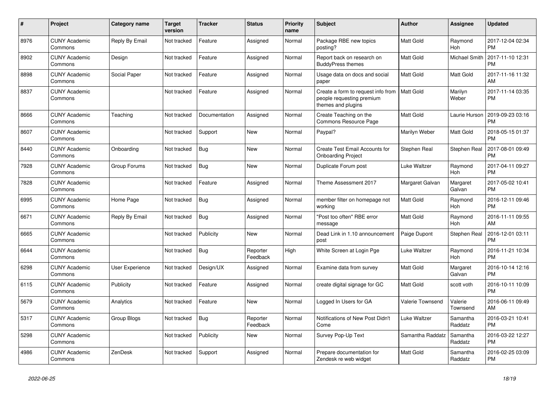| #    | <b>Project</b>                  | <b>Category name</b>   | <b>Target</b><br>version | <b>Tracker</b> | <b>Status</b>        | Priority<br>name | <b>Subject</b>                                                                        | <b>Author</b>       | Assignee              | Updated                       |
|------|---------------------------------|------------------------|--------------------------|----------------|----------------------|------------------|---------------------------------------------------------------------------------------|---------------------|-----------------------|-------------------------------|
| 8976 | <b>CUNY Academic</b><br>Commons | Reply By Email         | Not tracked              | Feature        | Assigned             | Normal           | Package RBE new topics<br>posting?                                                    | Matt Gold           | Raymond<br>Hoh        | 2017-12-04 02:34<br><b>PM</b> |
| 8902 | <b>CUNY Academic</b><br>Commons | Design                 | Not tracked              | Feature        | Assigned             | Normal           | Report back on research on<br><b>BuddyPress themes</b>                                | Matt Gold           | Michael Smith         | 2017-11-10 12:31<br>PM        |
| 8898 | <b>CUNY Academic</b><br>Commons | Social Paper           | Not tracked              | Feature        | Assigned             | Normal           | Usage data on docs and social<br>paper                                                | Matt Gold           | Matt Gold             | 2017-11-16 11:32<br>AM        |
| 8837 | <b>CUNY Academic</b><br>Commons |                        | Not tracked              | Feature        | Assigned             | Normal           | Create a form to request info from<br>people requesting premium<br>themes and plugins | Matt Gold           | Marilyn<br>Weber      | 2017-11-14 03:35<br><b>PM</b> |
| 8666 | <b>CUNY Academic</b><br>Commons | Teaching               | Not tracked              | Documentation  | Assigned             | Normal           | Create Teaching on the<br><b>Commons Resource Page</b>                                | Matt Gold           | Laurie Hurson         | 2019-09-23 03:16<br><b>PM</b> |
| 8607 | <b>CUNY Academic</b><br>Commons |                        | Not tracked              | Support        | New                  | Normal           | Paypal?                                                                               | Marilyn Weber       | Matt Gold             | 2018-05-15 01:37<br><b>PM</b> |
| 8440 | <b>CUNY Academic</b><br>Commons | Onboarding             | Not tracked              | <b>Bug</b>     | <b>New</b>           | Normal           | <b>Create Test Email Accounts for</b><br><b>Onboarding Project</b>                    | Stephen Real        | Stephen Real          | 2017-08-01 09:49<br>PM        |
| 7928 | <b>CUNY Academic</b><br>Commons | Group Forums           | Not tracked              | <b>Bug</b>     | <b>New</b>           | Normal           | Duplicate Forum post                                                                  | Luke Waltzer        | Raymond<br><b>Hoh</b> | 2017-04-11 09:27<br><b>PM</b> |
| 7828 | <b>CUNY Academic</b><br>Commons |                        | Not tracked              | Feature        | Assigned             | Normal           | Theme Assessment 2017                                                                 | Margaret Galvan     | Margaret<br>Galvan    | 2017-05-02 10:41<br><b>PM</b> |
| 6995 | <b>CUNY Academic</b><br>Commons | Home Page              | Not tracked              | Bug            | Assigned             | Normal           | member filter on homepage not<br>working                                              | Matt Gold           | Raymond<br>Hoh        | 2016-12-11 09:46<br>PM        |
| 6671 | <b>CUNY Academic</b><br>Commons | Reply By Email         | Not tracked              | <b>Bug</b>     | Assigned             | Normal           | 'Post too often" RBE error<br>message                                                 | Matt Gold           | Raymond<br><b>Hoh</b> | 2016-11-11 09:55<br>AM        |
| 6665 | <b>CUNY Academic</b><br>Commons |                        | Not tracked              | Publicity      | <b>New</b>           | Normal           | Dead Link in 1.10 announcement<br>post                                                | Paige Dupont        | <b>Stephen Real</b>   | 2016-12-01 03:11<br>PM        |
| 6644 | <b>CUNY Academic</b><br>Commons |                        | Not tracked              | Bug            | Reporter<br>Feedback | High             | White Screen at Login Pge                                                             | Luke Waltzer        | Raymond<br>Hoh        | 2016-11-21 10:34<br><b>PM</b> |
| 6298 | <b>CUNY Academic</b><br>Commons | <b>User Experience</b> | Not tracked              | Design/UX      | Assigned             | Normal           | Examine data from survey                                                              | Matt Gold           | Margaret<br>Galvan    | 2016-10-14 12:16<br><b>PM</b> |
| 6115 | <b>CUNY Academic</b><br>Commons | Publicity              | Not tracked              | Feature        | Assigned             | Normal           | create digital signage for GC                                                         | Matt Gold           | scott voth            | 2016-10-11 10:09<br>PМ        |
| 5679 | <b>CUNY Academic</b><br>Commons | Analytics              | Not tracked              | Feature        | <b>New</b>           | Normal           | Logged In Users for GA                                                                | Valerie Townsend    | Valerie<br>Townsend   | 2016-06-11 09:49<br>AM        |
| 5317 | <b>CUNY Academic</b><br>Commons | Group Blogs            | Not tracked              | <b>Bug</b>     | Reporter<br>Feedback | Normal           | Notifications of New Post Didn't<br>Come                                              | <b>Luke Waltzer</b> | Samantha<br>Raddatz   | 2016-03-21 10:41<br><b>PM</b> |
| 5298 | <b>CUNY Academic</b><br>Commons |                        | Not tracked              | Publicity      | New                  | Normal           | Survey Pop-Up Text                                                                    | Samantha Raddatz    | Samantha<br>Raddatz   | 2016-03-22 12:27<br><b>PM</b> |
| 4986 | <b>CUNY Academic</b><br>Commons | ZenDesk                | Not tracked              | Support        | Assigned             | Normal           | Prepare documentation for<br>Zendesk re web widget                                    | Matt Gold           | Samantha<br>Raddatz   | 2016-02-25 03:09<br><b>PM</b> |